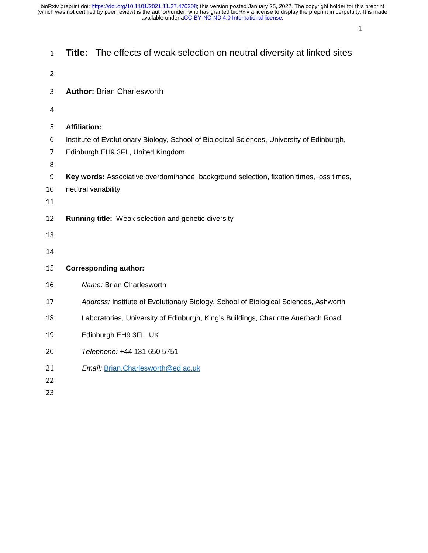$\frac{1}{\sqrt{1-\frac{1}{2}}}\left| \frac{1}{\sqrt{1-\frac{1}{2}}}\right|$ 

| $\mathbf{1}$   |                                   | <b>Title:</b> The effects of weak selection on neutral diversity at linked sites           |
|----------------|-----------------------------------|--------------------------------------------------------------------------------------------|
| $\overline{2}$ |                                   |                                                                                            |
| 3              | <b>Author: Brian Charlesworth</b> |                                                                                            |
| 4              |                                   |                                                                                            |
| 5              | <b>Affiliation:</b>               |                                                                                            |
| 6              |                                   | Institute of Evolutionary Biology, School of Biological Sciences, University of Edinburgh, |
| 7              | Edinburgh EH9 3FL, United Kingdom |                                                                                            |
| 8              |                                   |                                                                                            |
| 9              |                                   | Key words: Associative overdominance, background selection, fixation times, loss times,    |
| 10<br>11       | neutral variability               |                                                                                            |
|                |                                   |                                                                                            |
| 12             |                                   | <b>Running title:</b> Weak selection and genetic diversity                                 |
| 13             |                                   |                                                                                            |
| 14             |                                   |                                                                                            |
| 15             | <b>Corresponding author:</b>      |                                                                                            |
| 16             | Name: Brian Charlesworth          |                                                                                            |
| 17             |                                   | Address: Institute of Evolutionary Biology, School of Biological Sciences, Ashworth        |
| 18             |                                   | Laboratories, University of Edinburgh, King's Buildings, Charlotte Auerbach Road,          |
| 19             | Edinburgh EH9 3FL, UK             |                                                                                            |
| 20             |                                   | Telephone: +44 131 650 5751                                                                |
| 21             |                                   | Email: Brian.Charlesworth@ed.ac.uk                                                         |
| 22             |                                   |                                                                                            |

 $\overline{a}$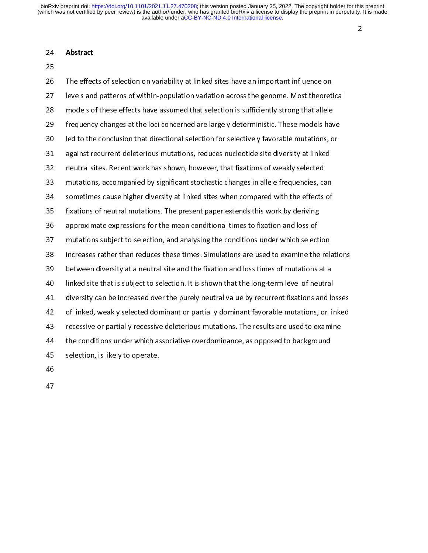## 24 Abstract

25

26 The effects of selection on variability at linked sites have an important influence on 27 levels and patterns of within-population variation across the genome. Most theoretical 28 models of these effects have assumed that selection is sufficiently strong that allele 29 frequency changes at the loci concerned are largely deterministic. These models have 30 led to the conclusion that directional selection for selectively favorable mutations, or 31 against recurrent deleterious mutations, reduces nucleotide site diversity at linked 32 neutral sites. Recent work has shown, however, that fixations of weakly selected 33 mutations, accompanied by significant stochastic changes in allele frequencies, can 34 sometimes cause higher diversity at linked sites when compared with the effects of 35 fixations of neutral mutations. The present paper extends this work by deriving 36 approximate expressions for the mean conditional times to fixation and loss of 37 mutations subject to selection, and analysing the conditions under which selection 38 increases rather than reduces these times. Simulations are used to examine the relations 39 between diversity at a neutral site and the fixation and loss times of mutations at a 40 linked site that is subject to selection. It is shown that the long-term level of neutral 41 diversity can be increased over the purely neutral value by recurrent fixations and losses 42 of linked, weakly selected dominant or partially dominant favorable mutations, or linked 43 recessive or partially recessive deleterious mutations. The results are used to examine 44 the conditions under which associative overdominance, as opposed to background 45 selection, is likely to operate. 46

- 
- 47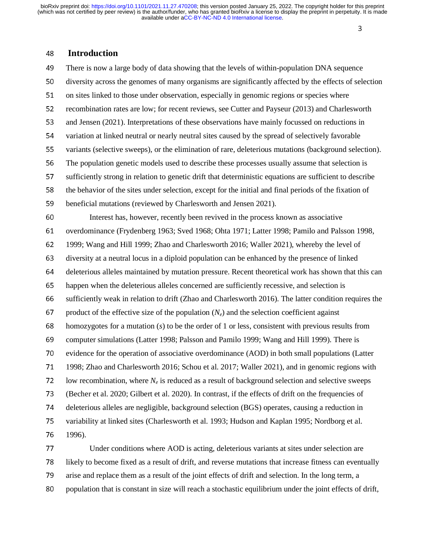# 3

# <sup>48</sup>**Introduction**

<sup>49</sup>There is now a large body of data showing that the levels of within-population DNA sequence 50 diversity across the genomes of many organisms are significantly affected by the effects of selection 51 on sites linked to those under observation, especially in genomic regions or species where 52 recombination rates are low; for recent reviews, see Cutter and Payseur (2013) and Charlesworth 53 and Jensen (2021). Interpretations of these observations have mainly focussed on reductions in 54 variation at linked neutral or nearly neutral sites caused by the spread of selectively favorable 55 variants (selective sweeps), or the elimination of rare, deleterious mutations (background selection). 56 The population genetic models used to describe these processes usually assume that selection is 57 sufficiently strong in relation to genetic drift that deterministic equations are sufficient to describe 58 the behavior of the sites under selection, except for the initial and final periods of the fixation of 59 beneficial mutations (reviewed by Charlesworth and Jensen 2021). <sup>60</sup>Interest has, however, recently been revived in the process known as associative 61 overdominance (Frydenberg 1963; Sved 1968; Ohta 1971; Latter 1998; Pamilo and Palsson 1998, <sup>62</sup>1999; Wang and Hill 1999; Zhao and Charlesworth 2016; Waller 2021), whereby the level of 63 diversity at a neutral locus in a diploid population can be enhanced by the presence of linked 64 deleterious alleles maintained by mutation pressure. Recent theoretical work has shown that this can <sup>65</sup>happen when the deleterious alleles concerned are sufficiently recessive, and selection is 66 sufficiently weak in relation to drift (Zhao and Charlesworth 2016). The latter condition requires the 67 product of the effective size of the population  $(N_e)$  and the selection coefficient against 68 homozygotes for a mutation  $(s)$  to be the order of 1 or less, consistent with previous results from <sup>69</sup>computer simulations (Latter 1998; Palsson and Pamilo 1999; Wang and Hill 1999). There is 70 evidence for the operation of associative overdominance (AOD) in both small populations (Latter <sup>71</sup>1998; Zhao and Charlesworth 2016; Schou et al. 2017; Waller 2021), and in genomic regions with 72 low recombination, where  $N_e$  is reduced as a result of background selection and selective sweeps 73 (Becher et al. 2020; Gilbert et al. 2020). In contrast, if the effects of drift on the frequencies of <sup>74</sup>deleterious alleles are negligible, background selection (BGS) operates, causing a reduction in 75 variability at linked sites (Charlesworth et al. 1993; Hudson and Kaplan 1995; Nordborg et al. 76 1996). 1996). 77 Under conditions where AOD is acting, deleterious variants at sites under selection are

<sup>78</sup>likely to become fixed as a result of drift, and reverse mutations that increase fitness can eventually 79 arise and replace them as a result of the joint effects of drift and selection. In the long term, a 80 population that is constant in size will reach a stochastic equilibrium under the joint effects of drift,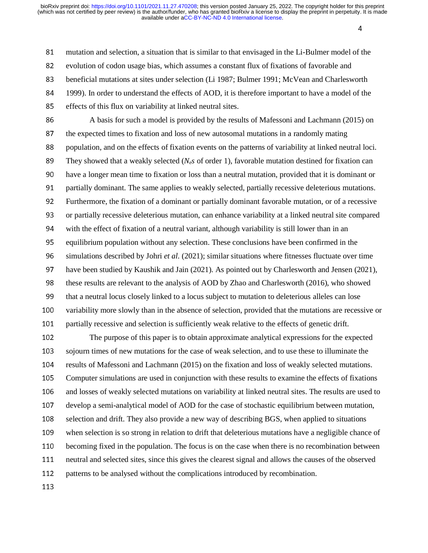de la construcción de la construcción de la construcción de la construcción de la construcción de la construcc<br>A la construcción de la construcción de la construcción de la construcción de la construcción de la construcci

81 mutation and selection, a situation that is similar to that envisaged in the Li-Bulmer model of the 82 evolution of codon usage bias, which assumes a constant flux of fixations of favorable and 83 beneficial mutations at sites under selection (Li 1987; Bulmer 1991; McVean and Charlesworth 84 1999). In order to understand the effects of AOD, it is therefore important to have a model of the 85 effects of this flux on variability at linked neutral sites. 86 A basis for such a model is provided by the results of Mafessoni and Lachmann (2015) on 87 the expected times to fixation and loss of new autosomal mutations in a randomly mating 88 population, and on the effects of fixation events on the patterns of variability at linked neutral loci. <sup>89</sup>They showed that a weakly selected (*Nes* of order 1), favorable mutation destined for fixation can 90 have a longer mean time to fixation or loss than a neutral mutation, provided that it is dominant or 91 partially dominant. The same applies to weakly selected, partially recessive deleterious mutations. 92 Furthermore, the fixation of a dominant or partially dominant favorable mutation, or of a recessive 93 or partially recessive deleterious mutation, can enhance variability at a linked neutral site compared 94 with the effect of fixation of a neutral variant, although variability is still lower than in an 95 equilibrium population without any selection. These conclusions have been confirmed in the <sup>96</sup>simulations described by Johri *et al.* (2021); similar situations where fitnesses fluctuate over time 97 have been studied by Kaushik and Jain (2021). As pointed out by Charlesworth and Jensen (2021), 98 these results are relevant to the analysis of AOD by Zhao and Charlesworth (2016), who showed 99 that a neutral locus closely linked to a locus subject to mutation to deleterious alleles can lose

100 variability more slowly than in the absence of selection, provided that the mutations are recessive or 101 partially recessive and selection is sufficiently weak relative to the effects of genetic drift.

<sup>102</sup>The purpose of this paper is to obtain approximate analytical expressions for the expected 103 sojourn times of new mutations for the case of weak selection, and to use these to illuminate the 104 results of Mafessoni and Lachmann (2015) on the fixation and loss of weakly selected mutations. 105 Computer simulations are used in conjunction with these results to examine the effects of fixations<br>106 and losses of weakly selected mutations on variability at linked neutral sites. The results are used to and losses of weakly selected mutations on variability at linked neutral sites. The results are used to 107 develop a semi-analytical model of AOD for the case of stochastic equilibrium between mutation, 108 selection and drift. They also provide a new way of describing BGS, when applied to situations 109 when selection is so strong in relation to drift that deleterious mutations have a negligible chance of 110 becoming fixed in the population. The focus is on the case when there is no recombination between 111 neutral and selected sites, since this gives the clearest signal and allows the causes of the observed 112 patterns to be analysed without the complications introduced by recombination.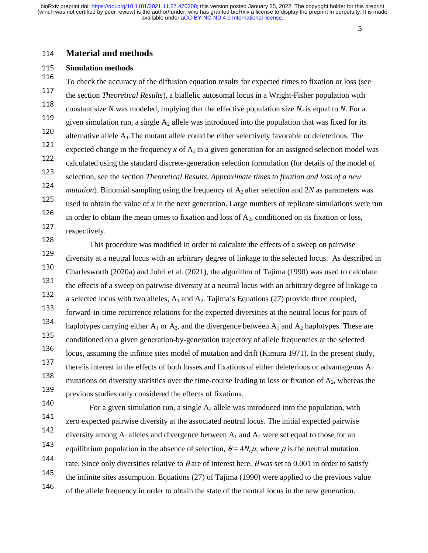# 5

# <sup>114</sup>**Material and methods**

# <sup>115</sup>**Simulation methods**

To check the accuracy of the diffusion equation results for expected times to fixation or loss (see the section *Theoretical Results*), a biallelic autosomal locus in a Wright-Fisher population with 117 constant size *N* was modeled, implying that the effective population size  $N_e$  is equal to *N*. For a 119 given simulation run, a single  $A_2$  allele was introduced into the population that was fixed for its 120 alternative allele  $A_1$ . The mutant allele could be either selectively favorable or deleterious. The expected change in the frequency  $x$  of  $A_2$  in a given generation for an assigned selection model was 122 calculated using the standard discrete-generation selection formulation (for details of the model of selection, see the section *Theoretical Results, Approximate times to fixation and loss of a new* 123 *mutation*). Binomial sampling using the frequency of  $A_2$  after selection and 2*N* as parameters was 125 used to obtain the value of  $x$  in the next generation. Large numbers of replicate simulations were run in order to obtain the mean times to fixation and loss of  $A_2$ , conditioned on its fixation or loss, 127 respectively.

 This procedure was modified in order to calculate the effects of a sweep on pairwise 128 diversity at a neutral locus with an arbitrary degree of linkage to the selected locus. As described in 129 130 Charlesworth (2020a) and Johri et al. (2021), the algorithm of Tajima (1990) was used to calculate the effects of a sweep on pairwise diversity at a neutral locus with an arbitrary degree of linkage to a selected locus with two alleles,  $A_1$  and  $A_2$ . Tajima's Equations (27) provide three coupled, 133 forward-in-time recurrence relations for the expected diversities at the neutral locus for pairs of haplotypes carrying either  $A_1$  or  $A_2$ , and the divergence between  $A_1$  and  $A_2$  haplotypes. These are conditioned on a given generation-by-generation trajectory of allele frequencies at the selected 135 locus, assuming the infinite sites model of mutation and drift (Kimura 1971). In the present study, 136 there is interest in the effects of both losses and fixations of either deleterious or advantageous  $A_2$ 137 138 mutations on diversity statistics over the time-course leading to loss or fixation of  $A_2$ , whereas the previous studies only considered the effects of fixations.<br>140

For a given simulation run, a single  $A_2$  allele was introduced into the population, with 141 zero expected pairwise diversity at the associated neutral locus. The initial expected pairwise diversity among  $A_1$  alleles and divergence between  $A_1$  and  $A_2$  were set equal to those for an equilibrium population in the absence of selection,  $θ = 4N_eμ$ , where  $μ$  is the neutral mutation 144 rate. Since only diversities relative to  $\theta$  are of interest here,  $\theta$  was set to 0.001 in order to satisfy the infinite sites assumption. Equations (27) of Tajima (1990) were applied to the previous value 146 of the allele frequency in order to obtain the state of the neutral locus in the new generation.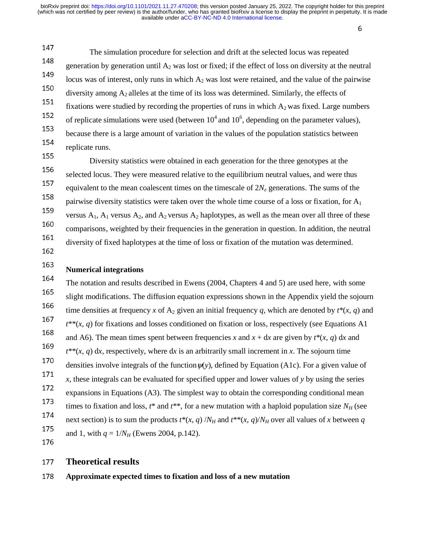$\overline{\mathcal{O}}$ 

 The simulation procedure for selection and drift at the selected locus was repeated 147 148 generation by generation until  $A_2$  was lost or fixed; if the effect of loss on diversity at the neutral 149 locus was of interest, only runs in which  $A_2$  was lost were retained, and the value of the pairwise diversity among  $A_2$  alleles at the time of its loss was determined. Similarly, the effects of 151 fixations were studied by recording the properties of runs in which  $A_2$  was fixed. Large numbers 152  $152$  of replicate simulations were used (between  $10^4$  and  $10^6$ , depending on the parameter values), 153 because there is a large amount of variation in the values of the population statistics between 154 replicate runs.

 Diversity statistics were obtained in each generation for the three genotypes at the 155 selected locus. They were measured relative to the equilibrium neutral values, and were thus 156 equivalent to the mean coalescent times on the timescale of  $2N_e$  generations. The sums of the pairwise diversity statistics were taken over the whole time course of a loss or fixation, for  $A_1$ 158 159 versus  $A_1$ ,  $A_1$  versus  $A_2$ , and  $A_2$  versus  $A_2$  haplotypes, as well as the mean over all three of these comparisons, weighted by their frequencies in the generation in question. In addition, the neutral 160 diversity of fixed haplotypes at the time of loss or fixation of the mutation was determined. 161

162

# **Numerical integrations** 163

164 The notation and results described in Ewens (2004, Chapters 4 and 5) are used here, with some slight modifications. The diffusion equation expressions shown in the Appendix yield the sojourn 165 time densities at frequency *x* of A<sub>2</sub> given an initial frequency *q*, which are denoted by  $t^*(x, q)$  and 167  $t^{**}(x, q)$  for fixations and losses conditioned on fixation or loss, respectively (see Equations A1 and A6). The mean times spent between frequencies *x* and  $x + dx$  are given by  $t^*(x, q) dx$  and 169  $t^{**}(x, q)$  dx, respectively, where dx is an arbitrarily small increment in x. The sojourn time 170 densities involve integrals of the function  $\psi(y)$ , defined by Equation (A1c). For a given value of <sup>171</sup> *x*, these integrals can be evaluated for specified upper and lower values of *y* by using the series expansions in Equations (A3). The simplest way to obtain the corresponding conditional mean times to fixation and loss,  $t^*$  and  $t^{**}$ , for a new mutation with a haploid population size  $N_H$  (see next section) is to sum the products  $t^*(x, q) / N_H$  and  $t^{**}(x, q) / N_H$  over all values of *x* between *q* 174 175 and 1, with  $q = 1/N_H$  (Ewens 2004, p.142).

176

# <sup>177</sup>**Theoretical results**

<sup>178</sup>**Approximate expected times to fixation and loss of a new mutation**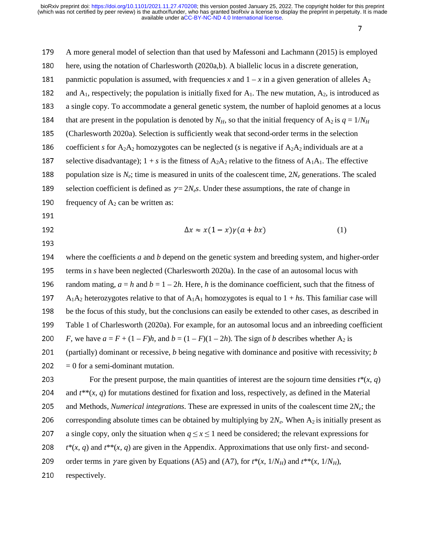<sup>1</sup>

| 179 | A more general model of selection than that used by Mafessoni and Lachmann (2015) is employed                                                     |
|-----|---------------------------------------------------------------------------------------------------------------------------------------------------|
| 180 | here, using the notation of Charlesworth (2020a,b). A biallelic locus in a discrete generation,                                                   |
| 181 | panmictic population is assumed, with frequencies x and $1 - x$ in a given generation of alleles $A_2$                                            |
| 182 | and $A_1$ , respectively; the population is initially fixed for $A_1$ . The new mutation, $A_2$ , is introduced as                                |
| 183 | a single copy. To accommodate a general genetic system, the number of haploid genomes at a locus                                                  |
| 184 | that are present in the population is denoted by $N_H$ , so that the initial frequency of $A_2$ is $q = 1/N_H$                                    |
| 185 | (Charlesworth 2020a). Selection is sufficiently weak that second-order terms in the selection                                                     |
| 186 | coefficient s for A <sub>2</sub> A <sub>2</sub> homozygotes can be neglected (s is negative if A <sub>2</sub> A <sub>2</sub> individuals are at a |
| 187 | selective disadvantage); $1 + s$ is the fitness of $A_2A_2$ relative to the fitness of $A_1A_1$ . The effective                                   |
| 188 | population size is $N_e$ ; time is measured in units of the coalescent time, $2N_e$ generations. The scaled                                       |
| 189 | selection coefficient is defined as $\gamma = 2N_e s$ . Under these assumptions, the rate of change in                                            |
| 190 | frequency of $A_2$ can be written as:                                                                                                             |
| 191 |                                                                                                                                                   |
| 192 | $\Delta x \approx x(1-x)\gamma(a+bx)$<br>(1)                                                                                                      |
| 193 |                                                                                                                                                   |
| 194 | where the coefficients $a$ and $b$ depend on the genetic system and breeding system, and higher-order                                             |
| 195 | terms in s have been neglected (Charlesworth 2020a). In the case of an autosomal locus with                                                       |
| 196 | random mating, $a = h$ and $b = 1 - 2h$ . Here, h is the dominance coefficient, such that the fitness of                                          |
| 197 | $A_1A_2$ heterozygotes relative to that of $A_1A_1$ homozygotes is equal to $1 + hs$ . This familiar case will                                    |
| 198 | be the focus of this study, but the conclusions can easily be extended to other cases, as described in                                            |
| 199 | Table 1 of Charlesworth (2020a). For example, for an autosomal locus and an inbreeding coefficient                                                |
| 200 | F, we have $a = F + (1 - F)h$ , and $b = (1 - F)(1 - 2h)$ . The sign of b describes whether A <sub>2</sub> is                                     |
| 201 | (partially) dominant or recessive, $b$ being negative with dominance and positive with recessivity; $b$                                           |
| 202 | $= 0$ for a semi-dominant mutation.                                                                                                               |
| 203 | For the present purpose, the main quantities of interest are the sojourn time densities $t^*(x, q)$                                               |
| 204 | and $t^{**}(x, q)$ for mutations destined for fixation and loss, respectively, as defined in the Material                                         |
| 205 | and Methods, Numerical integrations. These are expressed in units of the coalescent time $2N_e$ ; the                                             |
| 206 | corresponding absolute times can be obtained by multiplying by $2N_e$ . When A <sub>2</sub> is initially present as                               |
| 207 | a single copy, only the situation when $q \le x \le 1$ need be considered; the relevant expressions for                                           |
| 208 | $t^*(x, q)$ and $t^{**}(x, q)$ are given in the Appendix. Approximations that use only first- and second-                                         |
| 209 | order terms in yare given by Equations (A5) and (A7), for $t^*(x, 1/N_H)$ and $t^{**}(x, 1/N_H)$ ,                                                |
| 210 | respectively.                                                                                                                                     |
|     |                                                                                                                                                   |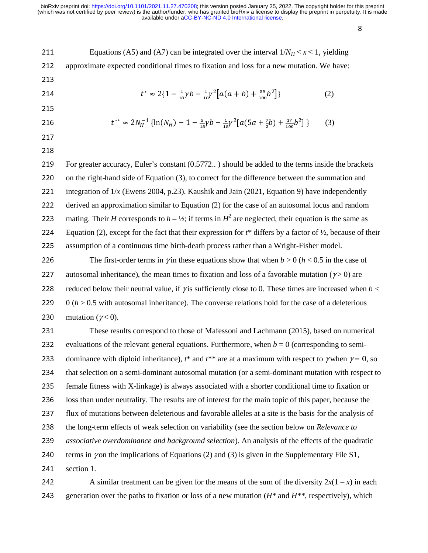$\mathcal{S}$ 

| 211 | Equations (A5) and (A7) can be integrated over the interval $1/N_H \le x \le 1$ , yielding                                                                                      |     |
|-----|---------------------------------------------------------------------------------------------------------------------------------------------------------------------------------|-----|
| 212 | approximate expected conditional times to fixation and loss for a new mutation. We have:                                                                                        |     |
| 213 |                                                                                                                                                                                 |     |
| 214 | $t^* \approx 2\{1-\frac{1}{12}\gamma b - \frac{1}{12}\gamma^2 \left[ a(a+b) + \frac{59}{200}b^2 \right] \}$                                                                     | (2) |
| 215 |                                                                                                                                                                                 |     |
| 216 | $t^{**} \approx 2N_H^{-1} \left\{ \ln(N_H) - 1 - \frac{5}{12} \gamma b - \frac{1}{12} \gamma^2 \left[ a \left( 5a + \frac{7}{2}b \right) + \frac{17}{120} b^2 \right] \right\}$ | (3) |
|     |                                                                                                                                                                                 |     |

217 218

219 For greater accuracy, Euler's constant (0.5772...) should be added to the terms inside the brackets 220 on the right-hand side of Equation (3), to correct for the difference between the summation and 221 integration of  $1/x$  (Ewens 2004, p.23). Kaushik and Jain (2021, Equation 9) have independently <sup>222</sup>derived an approximation similar to Equation (2) for the case of an autosomal locus and random 223 mating. Their *H* corresponds to  $h - \frac{1}{2}$ ; if terms in  $H^2$  are neglected, their equation is the same as 224 Equation (2), except for the fact that their expression for  $t^*$  differs by a factor of  $\frac{1}{2}$ , because of their 225 assumption of a continuous time birth-death process rather than a Wright-Fisher model.

226 The first-order terms in *γ* in these equations show that when  $b > 0$  ( $h < 0.5$  in the case of 227 autosomal inheritance), the mean times to fixation and loss of a favorable mutation ( $\gamma$  > 0) are 228 reduced below their neutral value, if  $\gamma$  is sufficiently close to 0. These times are increased when  $b <$ 229  $0 (h > 0.5$  with autosomal inheritance). The converse relations hold for the case of a deleterious 230 mutation ( $\gamma$  < 0).

231 These results correspond to those of Mafessoni and Lachmann (2015), based on numerical 232 evaluations of the relevant general equations. Furthermore, when  $b = 0$  (corresponding to semi-233 dominance with diploid inheritance),  $t^*$  and  $t^{**}$  are at a maximum with respect to γ when  $\gamma = 0$ , so 234 that selection on a semi-dominant autosomal mutation (or a semi-dominant mutation with respect to <sup>235</sup>female fitness with X-linkage) is always associated with a shorter conditional time to fixation or 236 loss than under neutrality. The results are of interest for the main topic of this paper, because the 237 flux of mutations between deleterious and favorable alleles at a site is the basis for the analysis of <sup>238</sup>the long-term effects of weak selection on variability (see the section below on *Relevance to*  <sup>239</sup>*associative overdominance and background selection*). An analysis of the effects of the quadratic 240 terms in γ on the implications of Equations (2) and (3) is given in the Supplementary File S1,  $241$  section 1.

242 A similar treatment can be given for the means of the sum of the diversity  $2x(1 - x)$  in each 243 generation over the paths to fixation or loss of a new mutation  $(H^*$  and  $H^{**}$ , respectively), which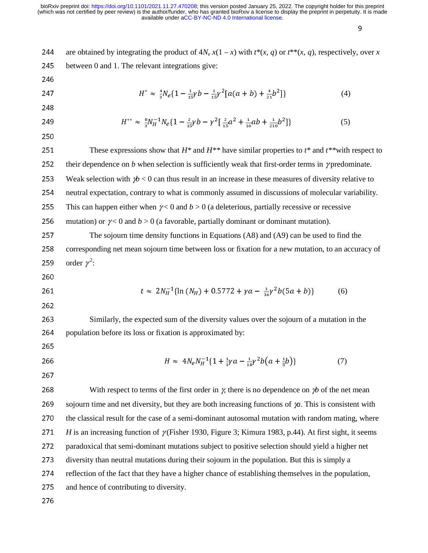en de la componentación de la componentación de la componentación de la componentación de la componentación de<br>En la componentación de la componentación de la componentación de la componentación de la componentación de la

244 are obtained by integrating the product of  $4N_e x(1 - x)$  with  $t^*(x, q)$  or  $t^{**}(x, q)$ , respectively, over *x* 245 between 0 and 1. The relevant integrations give: 246 247  $H^* \approx \frac{4}{3} N_e \{1 - \frac{1}{15} \gamma b - \frac{1}{15} \gamma^2 [a(a+b) + \frac{4}{21} b^2] \}$  (4) 248 249  $H^{**} \approx \frac{8}{3} N_H^{-1} N_e \{ 1 - \frac{2}{15} \gamma b - \gamma^2 \left[ \frac{2}{15} a^2 + \frac{1}{10} a b + \frac{1}{210} b^2 \right] \}$  (5) 250 251 These expressions show that  $H^*$  and  $H^{**}$  have similar properties to  $t^*$  and  $t^{**}$  with respect to 252 their dependence on  $b$  when selection is sufficiently weak that first-order terms in  $\gamma$  predominate. 253 Weak selection with  $\psi$  < 0 can thus result in an increase in these measures of diversity relative to 254 neutral expectation, contrary to what is commonly assumed in discussions of molecular variability. 255 This can happen either when  $\gamma$  < 0 and  $b > 0$  (a deleterious, partially recessive or recessive 256 mutation) or  $\gamma$  < 0 and *b* > 0 (a favorable, partially dominant or dominant mutation). 257 The sojourn time density functions in Equations (A8) and (A9) can be used to find the 258 corresponding net mean sojourn time between loss or fixation for a new mutation, to an accuracy of 259 order  $\gamma^2$ : 260 261  $t \approx 2N_H^{-1}\{\ln(N_H) + 0.5772 + \gamma a - \frac{1}{36}\gamma^2 b(5a + b)\}$  (6) 262 263 Similarly, the expected sum of the diversity values over the sojourn of a mutation in the 264 population before its loss or fixation is approximated by: 265 266  $H \approx 4N_e N_H^{-1} \{ 1 + \frac{1}{3} \gamma a - \frac{1}{18} \gamma^2 b \left( a + \frac{1}{5} b \right) \}$  (7) Ī -267 268 With respect to terms of the first order in  $\gamma$ , there is no dependence on  $\gamma b$  of the net mean 269 sojourn time and net diversity, but they are both increasing functions of  $\chi$ *a*. This is consistent with 270 the classical result for the case of a semi-dominant autosomal mutation with random mating, where <sup>271</sup>*H* is an increasing function of γ (Fisher 1930, Figure 3; Kimura 1983, p.44). At first sight, it seems 272 paradoxical that semi-dominant mutations subject to positive selection should yield a higher net 273 diversity than neutral mutations during their sojourn in the population. But this is simply a 274 reflection of the fact that they have a higher chance of establishing themselves in the population, 275 and hence of contributing to diversity. 276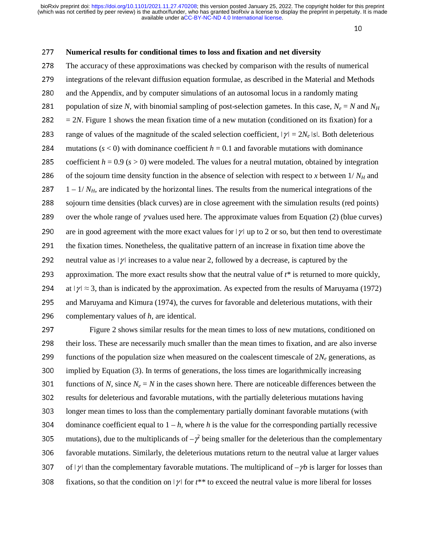10

#### <sup>277</sup>**Numerical results for conditional times to loss and fixation and net diversity**

278 The accuracy of these approximations was checked by comparison with the results of numerical 279 integrations of the relevant diffusion equation formulae, as described in the Material and Methods 280 and the Appendix, and by computer simulations of an autosomal locus in a randomly mating 281 population of size *N*, with binomial sampling of post-selection gametes. In this case,  $N_e = N$  and  $N_H$  $282 = 2N$ . Figure 1 shows the mean fixation time of a new mutation (conditioned on its fixation) for a 283 range of values of the magnitude of the scaled selection coefficient,  $|\gamma| = 2N_e$  *IsI*. Both deleterious 284 mutations  $(s < 0)$  with dominance coefficient  $h = 0.1$  and favorable mutations with dominance 285 coefficient  $h = 0.9$  ( $s > 0$ ) were modeled. The values for a neutral mutation, obtained by integration 286 of the sojourn time density function in the absence of selection with respect to *x* between  $1/N_H$  and 287  $1 - 1/N_H$ , are indicated by the horizontal lines. The results from the numerical integrations of the 288 sojourn time densities (black curves) are in close agreement with the simulation results (red points) 289 over the whole range of *γ* values used here. The approximate values from Equation (2) (blue curves) 290 are in good agreement with the more exact values for  $|\gamma|$  up to 2 or so, but then tend to overestimate 291 the fixation times. Nonetheless, the qualitative pattern of an increase in fixation time above the 292 neutral value as  $|\gamma|$  increases to a value near 2, followed by a decrease, is captured by the 293 approximation. The more exact results show that the neutral value of  $t^*$  is returned to more quickly, 294 at  $|\gamma| \approx 3$ , than is indicated by the approximation. As expected from the results of Maruyama (1972) 295 and Maruyama and Kimura (1974), the curves for favorable and deleterious mutations, with their 296 complementary values of  $h$ , are identical.

297 Figure 2 shows similar results for the mean times to loss of new mutations, conditioned on 298 their loss. These are necessarily much smaller than the mean times to fixation, and are also inverse 299 functions of the population size when measured on the coalescent timescale of  $2N_e$  generations, as 300 implied by Equation (3). In terms of generations, the loss times are logarithmically increasing 301 functions of *N*, since  $N_e = N$  in the cases shown here. There are noticeable differences between the 302 results for deleterious and favorable mutations, with the partially deleterious mutations having 303 longer mean times to loss than the complementary partially dominant favorable mutations (with 304 dominance coefficient equal to  $1 - h$ , where *h* is the value for the corresponding partially recessive 305 mutations), due to the multiplicands of  $-\gamma^2$  being smaller for the deleterious than the complementary 306 favorable mutations. Similarly, the deleterious mutations return to the neutral value at larger values 307 of  $|\gamma|$  than the complementary favorable mutations. The multiplicand of  $-\gamma b$  is larger for losses than 308 fixations, so that the condition on  $|\gamma|$  for  $t^{**}$  to exceed the neutral value is more liberal for losses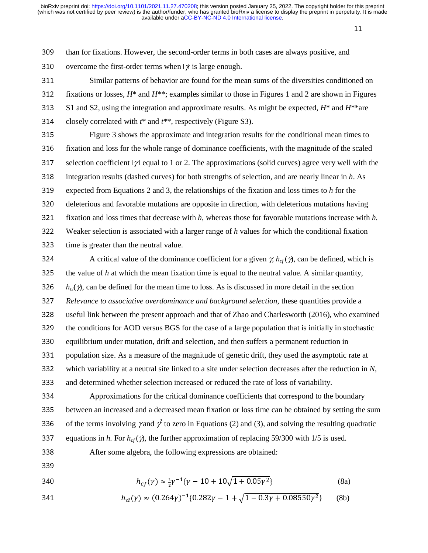11

309 than for fixations. However, the second-order terms in both cases are always positive, and 310 overcome the first-order terms when  $\vert \gamma \vert$  is large enough.

311 Similar patterns of behavior are found for the mean sums of the diversities conditioned on 312 fixations or losses,  $H^*$  and  $H^{**}$ ; examples similar to those in Figures 1 and 2 are shown in Figures <sup>313</sup>S1 and S2, using the integration and approximate results. As might be expected, *H*\* and *H*\*\*are 314 closely correlated with  $t^*$  and  $t^{**}$ , respectively (Figure S3).

315 Figure 3 shows the approximate and integration results for the conditional mean times to 316 fixation and loss for the whole range of dominance coefficients, with the magnitude of the scaled 317 selection coefficient  $|\gamma|$  equal to 1 or 2. The approximations (solid curves) agree very well with the <sup>318</sup>integration results (dashed curves) for both strengths of selection, and are nearly linear in *h*. As 319 expected from Equations 2 and 3, the relationships of the fixation and loss times to  $h$  for the 320 deleterious and favorable mutations are opposite in direction, with deleterious mutations having <sup>321</sup>fixation and loss times that decrease with *h*, whereas those for favorable mutations increase with *h.* <sup>322</sup>Weaker selection is associated with a larger range of *h* values for which the conditional fixation 323 time is greater than the neutral value.

324 A critical value of the dominance coefficient for a given  $\chi h_{cf}(\gamma)$ , can be defined, which is  $325$  the value of *h* at which the mean fixation time is equal to the neutral value. A similar quantity, 326 *h<sub>cl</sub>*( $\gamma$ ), can be defined for the mean time to loss. As is discussed in more detail in the section <sup>327</sup>*Relevance to associative overdominance and background selection*, these quantities provide a 328 useful link between the present approach and that of Zhao and Charlesworth (2016), who examined<br>329 the conditions for AOD versus BGS for the case of a large population that is initially in stochastic the conditions for AOD versus BGS for the case of a large population that is initially in stochastic 330 equilibrium under mutation, drift and selection, and then suffers a permanent reduction in 331 population size. As a measure of the magnitude of genetic drift, they used the asymptotic rate at 332 which variability at a neutral site linked to a site under selection decreases after the reduction in *N*,

333 and determined whether selection increased or reduced the rate of loss of variability.<br>334 Approximations for the critical dominance coefficients that correspond to the Approximations for the critical dominance coefficients that correspond to the boundary 335 between an increased and a decreased mean fixation or loss time can be obtained by setting the sum 336 of the terms involving  $\gamma$  and  $\gamma^2$  to zero in Equations (2) and (3), and solving the resulting quadratic 337 equations in *h*. For  $h_{cf}(\gamma)$ , the further approximation of replacing 59/300 with 1/5 is used.

338 After some algebra, the following expressions are obtained:

- 339
- 340  $h_{cf}(\gamma) \approx \frac{1}{2}\gamma^{-1}\{\gamma 10 + 10\sqrt{1 + 0.05\gamma^2}\}$  (8a)

341 
$$
h_{cl}(\gamma) \approx (0.264\gamma)^{-1} \{0.282\gamma - 1 + \sqrt{1 - 0.3\gamma + 0.08550\gamma^2}\}
$$
 (8b)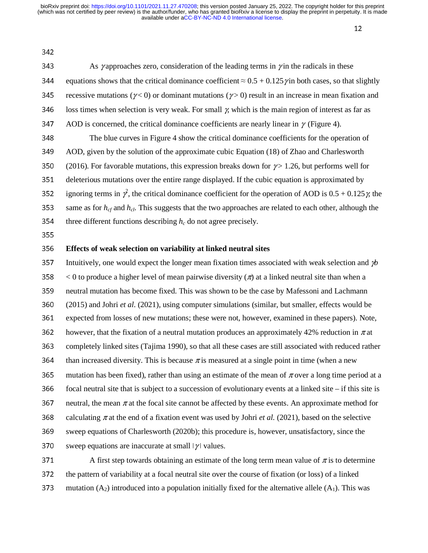$\frac{12}{2}$ 

342

343 As γ approaches zero, consideration of the leading terms in γ in the radicals in these 344 equations shows that the critical dominance coefficient  $\approx 0.5 + 0.125 \gamma$  in both cases, so that slightly 345 recessive mutations ( $\gamma$  < 0) or dominant mutations ( $\gamma$  > 0) result in an increase in mean fixation and 346 loss times when selection is very weak. For small  $\gamma$ , which is the main region of interest as far as

- 347 AOD is concerned, the critical dominance coefficients are nearly linear in  $\gamma$  (Figure 4).
- 348 The blue curves in Figure 4 show the critical dominance coefficients for the operation of
- 349 AOD, given by the solution of the approximate cubic Equation (18) of Zhao and Charlesworth
- 350 (2016). For favorable mutations, this expression breaks down for  $\gamma$  > 1.26, but performs well for
- 351 deleterious mutations over the entire range displayed. If the cubic equation is approximated by
- 352 ignoring terms in  $\gamma^2$ , the critical dominance coefficient for the operation of AOD is  $0.5 + 0.125\gamma$ , the
- 353 same as for  $h_{cf}$  and  $h_{cl}$ . This suggests that the two approaches are related to each other, although the
- 354 three different functions describing  $h_c$  do not agree precisely.

355

# <sup>356</sup>**Effects of weak selection on variability at linked neutral sites**

<sup>357</sup>Intuitively, one would expect the longer mean fixation times associated with weak selection and γ*<sup>b</sup>* 358  $\lt 0$  to produce a higher level of mean pairwise diversity  $(\pi)$  at a linked neutral site than when a 359 neutral mutation has become fixed. This was shown to be the case by Mafessoni and Lachmann <sup>360</sup>(2015) and Johri *et al.* (2021), using computer simulations (similar, but smaller, effects would be 361 expected from losses of new mutations; these were not, however, examined in these papers). Note, 362 however, that the fixation of a neutral mutation produces an approximately 42% reduction in  $\pi$  at 363 completely linked sites (Tajima 1990), so that all these cases are still associated with reduced rather 364 than increased diversity. This is because  $\pi$  is measured at a single point in time (when a new 365 mutation has been fixed), rather than using an estimate of the mean of  $\pi$  over a long time period at a  $366$  focal neutral site that is subject to a succession of evolutionary events at a linked site – if this site is 367 neutral, the mean  $\pi$  at the focal site cannot be affected by these events. An approximate method for 368 calculating  $\pi$  at the end of a fixation event was used by Johri *et al.* (2021), based on the selective 369 sweep equations of Charlesworth (2020b); this procedure is, however, unsatisfactory, since the 370 sweep equations are inaccurate at small  $|\gamma|$  values.

371 A first step towards obtaining an estimate of the long term mean value of  $\pi$  is to determine 372 the pattern of variability at a focal neutral site over the course of fixation (or loss) of a linked 373 mutation  $(A_2)$  introduced into a population initially fixed for the alternative allele  $(A_1)$ . This was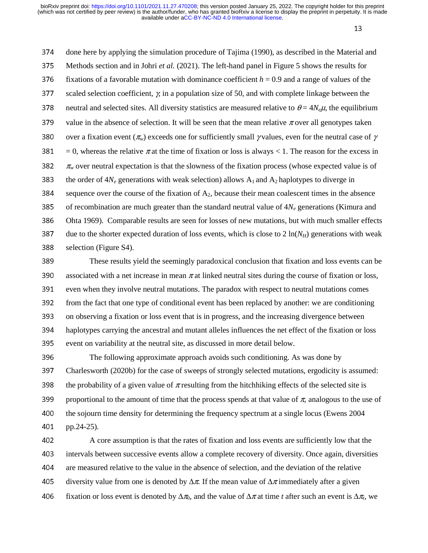13

374 done here by applying the simulation procedure of Tajima (1990), as described in the Material and <sup>375</sup>Methods section and in Johri *et al.* (2021). The left-hand panel in Figure 5 shows the results for 376 fixations of a favorable mutation with dominance coefficient  $h = 0.9$  and a range of values of the 377 scaled selection coefficient,  $\chi$  in a population size of 50, and with complete linkage between the 378 neutral and selected sites. All diversity statistics are measured relative to  $\theta = 4N_e\mu$ , the equilibrium 379 value in the absence of selection. It will be seen that the mean relative  $\pi$  over all genotypes taken 380 over a fixation event ( $\pi_w$ ) exceeds one for sufficiently small *γ* values, even for the neutral case of *γ* 381 = 0, whereas the relative  $\pi$  at the time of fixation or loss is always < 1. The reason for the excess in 382  $\pi_w$  over neutral expectation is that the slowness of the fixation process (whose expected value is of 383 the order of  $4N_e$  generations with weak selection) allows  $A_1$  and  $A_2$  haplotypes to diverge in 384 sequence over the course of the fixation of  $A_2$ , because their mean coalescent times in the absence 385 of recombination are much greater than the standard neutral value of  $4N_e$  generations (Kimura and 386 Ohta 1969). Comparable results are seen for losses of new mutations, but with much smaller effects 387 due to the shorter expected duration of loss events, which is close to  $2 \ln(N_H)$  generations with weak 388 selection (Figure S4).

389 These results yield the seemingly paradoxical conclusion that fixation and loss events can be 390 associated with a net increase in mean  $\pi$  at linked neutral sites during the course of fixation or loss, 391 even when they involve neutral mutations. The paradox with respect to neutral mutations comes 392 from the fact that one type of conditional event has been replaced by another: we are conditioning<br>393 on observing a fixation or loss event that is in progress, and the increasing divergence between <sup>393</sup>on observing a fixation or loss event that is in progress, and the increasing divergence between 394 haplotypes carrying the ancestral and mutant alleles influences the net effect of the fixation or loss 395 event on variability at the neutral site, as discussed in more detail below.

396 The following approximate approach avoids such conditioning. As was done by <sup>397</sup>Charlesworth (2020b) for the case of sweeps of strongly selected mutations, ergodicity is assumed: 398 the probability of a given value of  $\pi$  resulting from the hitchhiking effects of the selected site is 399 proportional to the amount of time that the process spends at that value of  $\pi$ , analogous to the use of 400 the sojourn time density for determining the frequency spectrum at a single locus (Ewens 2004) 401 pp.24-25).

<sup>402</sup>A core assumption is that the rates of fixation and loss events are sufficiently low that the <sup>403</sup>intervals between successive events allow a complete recovery of diversity. Once again, diversities 404 are measured relative to the value in the absence of selection, and the deviation of the relative 405 diversity value from one is denoted by  $\Delta \pi$ . If the mean value of  $\Delta \pi$  immediately after a given fixation or loss event is denoted by  $\Delta \pi_0$ , and the value of  $\Delta \pi$  at time *t* after such an event is  $\Delta \pi_0$ , we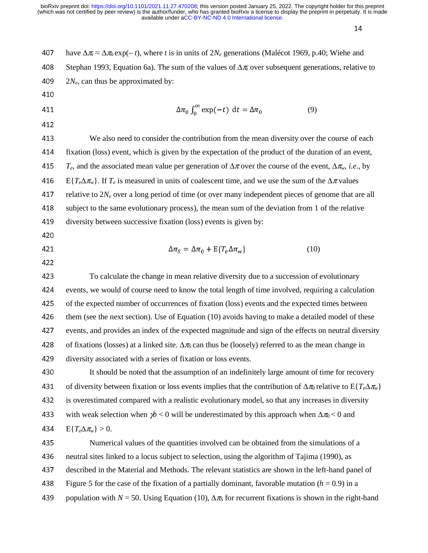n de la componentación de la componentación de la componentación de la componentación de la componentación de<br>En la componentación de la componentación de la componentación de la componentación de la componentación de la

| 407 | have $\Delta \pi_i \approx \Delta \pi_0 \exp(-t)$ , where t is in units of $2N_e$ generations (Malécot 1969, p.40; Wiehe and         |  |  |
|-----|--------------------------------------------------------------------------------------------------------------------------------------|--|--|
| 408 | Stephan 1993, Equation 6a). The sum of the values of $\Delta \pi$ over subsequent generations, relative to                           |  |  |
| 409 | $2N_e$ , can thus be approximated by:                                                                                                |  |  |
| 410 |                                                                                                                                      |  |  |
| 411 | $\Delta \pi_0 \int_0^\infty \exp(-t) dt = \Delta \pi_0$<br>(9)                                                                       |  |  |
| 412 |                                                                                                                                      |  |  |
| 413 | We also need to consider the contribution from the mean diversity over the course of each                                            |  |  |
| 414 | fixation (loss) event, which is given by the expectation of the product of the duration of an event,                                 |  |  |
| 415 | $T_e$ , and the associated mean value per generation of $\Delta \pi$ over the course of the event, $\Delta \pi_w$ , <i>i.e.</i> , by |  |  |
| 416 | $E\{T_e\Delta\pi_w\}$ . If $T_e$ is measured in units of coalescent time, and we use the sum of the $\Delta\pi$ values               |  |  |
| 417 | relative to $2N_e$ over a long period of time (or over many independent pieces of genome that are all                                |  |  |
| 418 | subject to the same evolutionary process), the mean sum of the deviation from 1 of the relative                                      |  |  |
| 419 | diversity between successive fixation (loss) events is given by:                                                                     |  |  |
| 420 |                                                                                                                                      |  |  |
| 421 | $\Delta \pi_{S} = \Delta \pi_{0} + \mathrm{E} \{ T_{e} \Delta \pi_{w} \}$<br>(10)                                                    |  |  |
| 422 |                                                                                                                                      |  |  |
| 423 | To calculate the change in mean relative diversity due to a succession of evolutionary                                               |  |  |
| 424 | events, we would of course need to know the total length of time involved, requiring a calculation                                   |  |  |
| 425 | of the expected number of occurrences of fixation (loss) events and the expected times between                                       |  |  |
| 426 | them (see the next section). Use of Equation (10) avoids having to make a detailed model of these                                    |  |  |
| 427 | events, and provides an index of the expected magnitude and sign of the effects on neutral diversity                                 |  |  |
| 428 | of fixations (losses) at a linked site. $\Delta \pi_S$ can thus be (loosely) referred to as the mean change in                       |  |  |
| 429 | diversity associated with a series of fixation or loss events.                                                                       |  |  |
| 430 | It should be noted that the assumption of an indefinitely large amount of time for recovery                                          |  |  |
| 431 | of diversity between fixation or loss events implies that the contribution of $\Delta \pi_0$ relative to $E\{T_e\Delta \pi_w\}$      |  |  |
| 432 | is overestimated compared with a realistic evolutionary model, so that any increases in diversity                                    |  |  |
| 433 | with weak selection when $p/6 < 0$ will be underestimated by this approach when $\Delta \pi_0 < 0$ and                               |  |  |
| 434 | $E\{T_e\Delta\pi_w\}>0.$                                                                                                             |  |  |
| 435 | Numerical values of the quantities involved can be obtained from the simulations of a                                                |  |  |
| 436 | neutral sites linked to a locus subject to selection, using the algorithm of Tajima (1990), as                                       |  |  |
| 437 | described in the Material and Methods. The relevant statistics are shown in the left-hand panel of                                   |  |  |
| 438 | Figure 5 for the case of the fixation of a partially dominant, favorable mutation ( $h = 0.9$ ) in a                                 |  |  |
| 439 | population with $N = 50$ . Using Equation (10), $\Delta \pi_s$ for recurrent fixations is shown in the right-hand                    |  |  |
|     |                                                                                                                                      |  |  |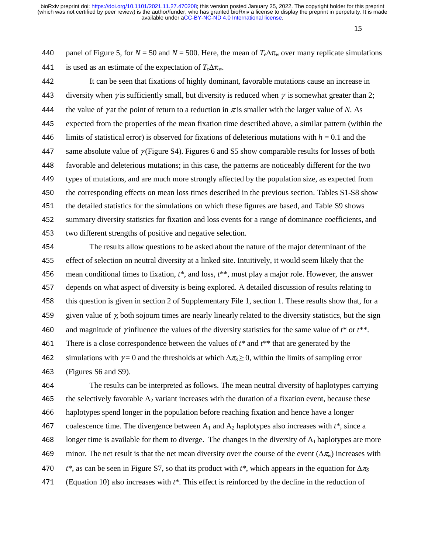15

440 panel of Figure 5, for  $N = 50$  and  $N = 500$ . Here, the mean of  $T_e\Delta\pi_w$  over many replicate simulations 441 is used as an estimate of the expectation of  $T_e\Delta\pi_w$ .

<sup>442</sup>It can be seen that fixations of highly dominant, favorable mutations cause an increase in 443 diversity when  $\gamma$  is sufficiently small, but diversity is reduced when  $\gamma$  is somewhat greater than 2; 444 the value of *γ* at the point of return to a reduction in  $\pi$  is smaller with the larger value of *N*. As 445 expected from the properties of the mean fixation time described above, a similar pattern (within the 446 limits of statistical error) is observed for fixations of deleterious mutations with  $h = 0.1$  and the 447 same absolute value of  $\gamma$  (Figure S4). Figures 6 and S5 show comparable results for losses of both <sup>448</sup>favorable and deleterious mutations; in this case, the patterns are noticeably different for the two types of mutations, and are much more strongly affected by the population size, as expected from<br>450 the corresponding effects on mean loss times described in the previous section. Tables S1-S8 show the corresponding effects on mean loss times described in the previous section. Tables S1-S8 show 451 the detailed statistics for the simulations on which these figures are based, and Table S9 shows<br>452 summary diversity statistics for fixation and loss events for a range of dominance coefficients. summary diversity statistics for fixation and loss events for a range of dominance coefficients, and 453 two different strengths of positive and negative selection.<br>454 The results allow questions to be asked about the r

The results allow questions to be asked about the nature of the major determinant of the 455 effect of selection on neutral diversity at a linked site. Intuitively, it would seem likely that the 456 mean conditional times to fixation,  $t^*$ , and loss,  $t^{**}$ , must play a major role. However, the answer 457 depends on what aspect of diversity is being explored. A detailed discussion of results relating to 458 this question is given in section 2 of Supplementary File 1, section 1. These results show that, for a 459 given value of  $\chi$  both sojourn times are nearly linearly related to the diversity statistics, but the sign 460 and magnitude of *γ* influence the values of the diversity statistics for the same value of  $t^*$  or  $t^{**}$ . 461 There is a close correspondence between the values of  $t^*$  and  $t^{**}$  that are generated by the 462 simulations with  $\gamma = 0$  and the thresholds at which  $\Delta \pi_s \geq 0$ , within the limits of sampling error 463 (Figures S6 and S9).

<sup>464</sup>The results can be interpreted as follows. The mean neutral diversity of haplotypes carrying 465 the selectively favorable  $A_2$  variant increases with the duration of a fixation event, because these 466 haplotypes spend longer in the population before reaching fixation and hence have a longer 467 coalescence time. The divergence between  $A_1$  and  $A_2$  haplotypes also increases with  $t^*$ , since a 468 longer time is available for them to diverge. The changes in the diversity of  $A_1$  haplotypes are more 469 minor. The net result is that the net mean diversity over the course of the event  $(\Delta \pi_w)$  increases with <sup>470</sup>*t*\*, as can be seen in Figure S7, so that its product with *t*\*, which appears in the equation for Δ<sup>π</sup>*<sup>S</sup>* <sup>471</sup>(Equation 10) also increases with *t*\*. This effect is reinforced by the decline in the reduction of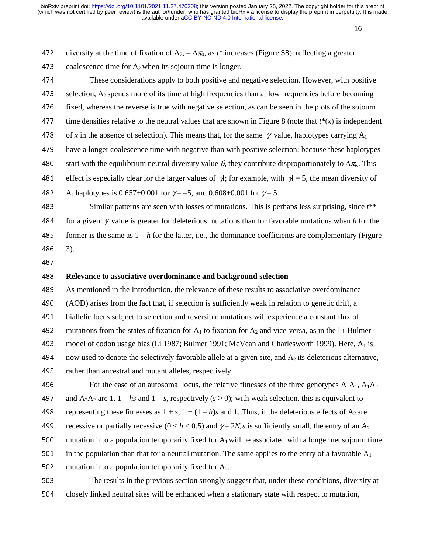| 472 | diversity at the time of fixation of $A_2$ , $-\Delta \pi_0$ , as $t^*$ increases (Figure S8), reflecting a greater               |
|-----|-----------------------------------------------------------------------------------------------------------------------------------|
| 473 | coalescence time for $A_2$ when its sojourn time is longer.                                                                       |
| 474 | These considerations apply to both positive and negative selection. However, with positive                                        |
| 475 | selection, $A_2$ spends more of its time at high frequencies than at low frequencies before becoming                              |
| 476 | fixed, whereas the reverse is true with negative selection, as can be seen in the plots of the sojourn                            |
| 477 | time densities relative to the neutral values that are shown in Figure 8 (note that $t^*(x)$ is independent                       |
| 478 | of x in the absence of selection). This means that, for the same $\psi$ value, haplotypes carrying $A_1$                          |
| 479 | have a longer coalescence time with negative than with positive selection; because these haplotypes                               |
| 480 | start with the equilibrium neutral diversity value $\theta$ , they contribute disproportionately to $\Delta \pi_{w}$ . This       |
| 481 | effect is especially clear for the larger values of $ \gamma $ ; for example, with $ \gamma  = 5$ , the mean diversity of         |
| 482 | A <sub>1</sub> haplotypes is 0.657±0.001 for $\gamma = -5$ , and 0.608±0.001 for $\gamma = 5$ .                                   |
| 483 | Similar patterns are seen with losses of mutations. This is perhaps less surprising, since $t^{**}$                               |
| 484 | for a given $\vert \psi \rangle$ value is greater for deleterious mutations than for favorable mutations when h for the           |
| 485 | former is the same as $1 - h$ for the latter, i.e., the dominance coefficients are complementary (Figure                          |
| 486 | $3)$ .                                                                                                                            |
| 487 |                                                                                                                                   |
| 488 | Relevance to associative overdominance and background selection                                                                   |
| 489 | As mentioned in the Introduction, the relevance of these results to associative overdominance                                     |
| 490 | (AOD) arises from the fact that, if selection is sufficiently weak in relation to genetic drift, a                                |
| 491 | biallelic locus subject to selection and reversible mutations will experience a constant flux of                                  |
| 492 | mutations from the states of fixation for $A_1$ to fixation for $A_2$ and vice-versa, as in the Li-Bulmer                         |
| 493 | model of codon usage bias (Li 1987; Bulmer 1991; McVean and Charlesworth 1999). Here, A <sub>1</sub> is                           |
| 494 | now used to denote the selectively favorable allele at a given site, and $A_2$ its deleterious alternative,                       |
| 495 | rather than ancestral and mutant alleles, respectively.                                                                           |
| 496 | For the case of an autosomal locus, the relative fitnesses of the three genotypes $A_1A_1$ , $A_1A_2$                             |
| 497 | and A <sub>2</sub> A <sub>2</sub> are 1, 1 – hs and 1 – s, respectively ( $s \ge 0$ ); with weak selection, this is equivalent to |
| 498 | representing these fitnesses as $1 + s$ , $1 + (1 - h)s$ and 1. Thus, if the deleterious effects of A <sub>2</sub> are            |
| 499 | recessive or partially recessive ( $0 \le h < 0.5$ ) and $\gamma = 2N_e s$ is sufficiently small, the entry of an A <sub>2</sub>  |
| 500 | mutation into a population temporarily fixed for $A_1$ will be associated with a longer net sojourn time                          |
| 501 | in the population than that for a neutral mutation. The same applies to the entry of a favorable $A_1$                            |

502 mutation into a population temporarily fixed for  $A_2$ .

503 The results in the previous section strongly suggest that, under these conditions, diversity at 504 closely linked neutral sites will be enhanced when a stationary state with respect to mutation,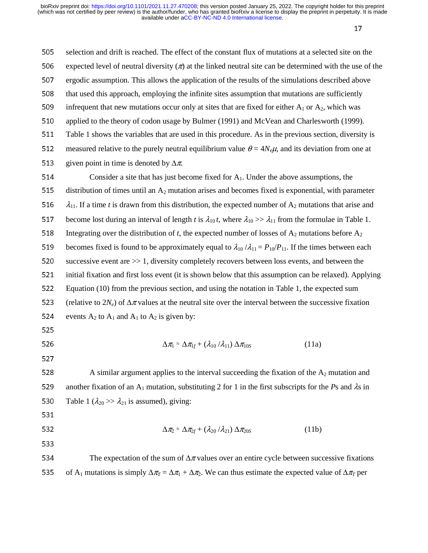$\frac{17}{2}$ 505 selection and drift is reached. The effect of the constant flux of mutations at a selected site on the 506 expected level of neutral diversity  $(\pi)$  at the linked neutral site can be determined with the use of the 507 ergodic assumption. This allows the application of the results of the simulations described above 508 that used this approach, employing the infinite sites assumption that mutations are sufficiently 509 infrequent that new mutations occur only at sites that are fixed for either  $A_1$  or  $A_2$ , which was 510 applied to the theory of codon usage by Bulmer (1991) and McVean and Charlesworth (1999). 511 Table 1 shows the variables that are used in this procedure. As in the previous section, diversity is 512 measured relative to the purely neutral equilibrium value  $\theta = 4N_e\mu$ , and its deviation from one at 513 given point in time is denoted by  $\Delta \pi$ . 514 Consider a site that has just become fixed for  $A_1$ . Under the above assumptions, the 515 distribution of times until an  $A_2$  mutation arises and becomes fixed is exponential, with parameter 516  $\lambda_{11}$ . If a time *t* is drawn from this distribution, the expected number of A<sub>2</sub> mutations that arise and 517 become lost during an interval of length *t* is  $\lambda_{10} t$ , where  $\lambda_{10} >> \lambda_{11}$  from the formulae in Table 1. 518 Integrating over the distribution of *t*, the expected number of losses of  $A_2$  mutations before  $A_2$ 519 becomes fixed is found to be approximately equal to  $\lambda_{10} / \lambda_{11} = P_{10}/P_{11}$ . If the times between each 520 successive event are  $\gg 1$ , diversity completely recovers between loss events, and between the 521 initial fixation and first loss event (it is shown below that this assumption can be relaxed). Applying 522 Equation (10) from the previous section, and using the notation in Table 1, the expected sum 523 (relative to  $2N_e$ ) of  $\Delta \pi$  values at the neutral site over the interval between the successive fixation 524 events  $A_2$  to  $A_1$  and  $A_1$  to  $A_2$  is given by: 525  $Δπ₁ ≈ Δπ₁<sub>f</sub> + (λ<sub>10</sub> /λ<sub>11</sub>) Δπ<sub>10S</sub>$  (11a)<br>527 527 528 A similar argument applies to the interval succeeding the fixation of the  $A_2$  mutation and 529 another fixation of an A<sub>1</sub> mutation, substituting 2 for 1 in the first subscripts for the *Ps* and  $\lambda$ s in 530 Table 1 ( $\lambda_{20} \gg \lambda_{21}$  is assumed), giving: 531

$$
\Delta \pi_2 \approx \Delta \pi_{2f} + (\lambda_{20}/\lambda_{21}) \Delta \pi_{20S} \tag{11b}
$$

- 533
- 534 The expectation of the sum of  $\Delta \pi$  values over an entire cycle between successive fixations 535 of A<sub>1</sub> mutations is simply  $\Delta \pi$ <sub>*T*</sub> =  $\Delta \pi$ <sub>1</sub> +  $\Delta \pi$ <sub>2</sub>. We can thus estimate the expected value of  $\Delta \pi$ <sub>*T*</sub> per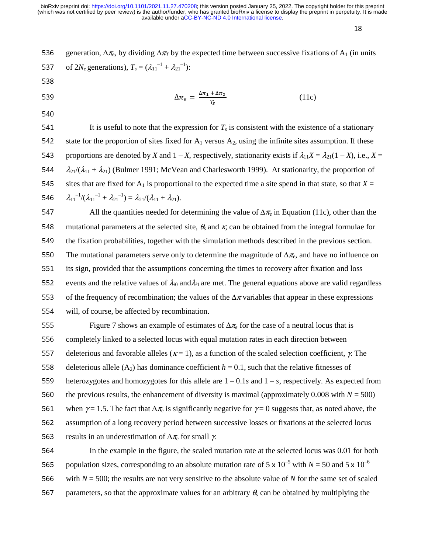18

536 generation,  $\Delta \pi_e$ , by dividing  $\Delta \pi_T$  by the expected time between successive fixations of A<sub>1</sub> (in units 537 of  $2N_e$  generations),  $T_s = (\lambda_{11}^{-1} + \lambda_{21}^{-1})$ :

 $\Delta \pi_e = \frac{\Delta n_1 + \Delta n_2}{T_S}$ 

- 538
- 539  $\Delta \pi_e = \frac{\Delta n_1 + \Delta n_2}{T_s}$  (11c)
- 540

541 It is useful to note that the expression for  $T<sub>s</sub>$  is consistent with the existence of a stationary 542 state for the proportion of sites fixed for  $A_1$  versus  $A_2$ , using the infinite sites assumption. If these 543 proportions are denoted by *X* and  $1 - X$ , respectively, stationarity exists if  $\lambda_{11}X = \lambda_{21}(1 - X)$ , i.e.,  $X =$ 544  $\lambda_{21}/(\lambda_{11} + \lambda_{21})$  (Bulmer 1991; McVean and Charlesworth 1999). At stationarity, the proportion of 545 sites that are fixed for  $A_1$  is proportional to the expected time a site spend in that state, so that  $X=$ 546  $\lambda_{11}^{-1}/(\lambda_{11}^{-1} + \lambda_{21}^{-1}) = \lambda_{21}/(\lambda_{11} + \lambda_{21}).$ 

547 All the quantities needed for determining the value of  $\Delta \pi_e$  in Equation (11c), other than the 548 mutational parameters at the selected site,  $\theta_s$  and  $\kappa$ , can be obtained from the integral formulae for 549 the fixation probabilities, together with the simulation methods described in the previous section. 550 The mutational parameters serve only to determine the magnitude of  $\Delta \pi_e$ , and have no influence on 551 its sign, provided that the assumptions concerning the times to recovery after fixation and loss 552 events and the relative values of  $\lambda_{i0}$  and  $\lambda_{i1}$  are met. The general equations above are valid regardless 553 of the frequency of recombination; the values of the  $\Delta \pi$  variables that appear in these expressions 554 will, of course, be affected by recombination.

555 Figure 7 shows an example of estimates of  $\Delta \pi_e$  for the case of a neutral locus that is 556 completely linked to a selected locus with equal mutation rates in each direction between 557 deleterious and favorable alleles ( $\kappa = 1$ ), as a function of the scaled selection coefficient,  $\gamma$ . The 558 deleterious allele (A<sub>2</sub>) has dominance coefficient  $h = 0.1$ , such that the relative fitnesses of heterozygotes and homozygotes for this allele are  $1 - 0.1s$  and  $1 - s$ , respectively. As expected heterozygotes and homozygotes for this allele are  $1 - 0.1s$  and  $1 - s$ , respectively. As expected from 560 the previous results, the enhancement of diversity is maximal (approximately 0.008 with  $N = 500$ ) 561 when  $\gamma = 1.5$ . The fact that  $\Delta \pi_e$  is significantly negative for  $\gamma = 0$  suggests that, as noted above, the 562 assumption of a long recovery period between successive losses or fixations at the selected locus 563 results in an underestimation of  $\Delta \pi_e$  for small *γ*.

564 In the example in the figure, the scaled mutation rate at the selected locus was 0.01 for both 565 population sizes, corresponding to an absolute mutation rate of 5 x  $10^{-5}$  with *N* = 50 and 5 x  $10^{-6}$ 566 with  $N = 500$ ; the results are not very sensitive to the absolute value of  $N$  for the same set of scaled 567 parameters, so that the approximate values for an arbitrary  $\theta$ <sub>s</sub> can be obtained by multiplying the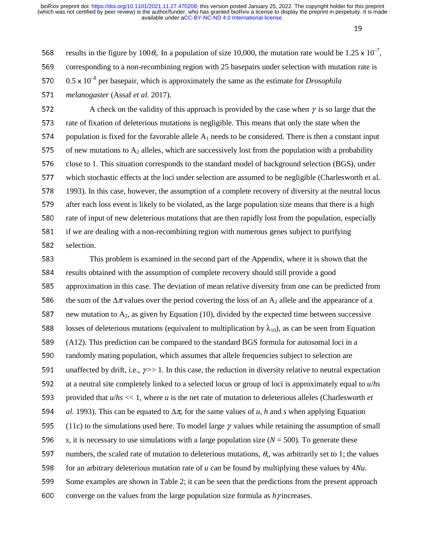19

568 results in the figure by 100 $\theta_s$ . In a population of size 10,000, the mutation rate would be 1.25 x 10<sup>-7</sup>, 569 corresponding to a non-recombining region with 25 basepairs under selection with mutation rate is 570 0.5 x 10<sup>-8</sup> per basepair, which is approximately the same as the estimate for *Drosophila* 

<sup>571</sup>*melanogaster* (Assaf *et al.* 2017).

572 A check on the validity of this approach is provided by the case when  $\gamma$  is so large that the 573 rate of fixation of deleterious mutations is negligible. This means that only the state when the 574 population is fixed for the favorable allele  $A_1$  needs to be considered. There is then a constant input 575 of new mutations to  $A_2$  alleles, which are successively lost from the population with a probability 576 close to 1. This situation corresponds to the standard model of background selection (BGS), under 577 which stochastic effects at the loci under selection are assumed to be negligible (Charlesworth et al. 578 1993). In this case, however, the assumption of a complete recovery of diversity at the neutral locus 579 after each loss event is likely to be violated, as the large population size means that there is a high 580 rate of input of new deleterious mutations that are then rapidly lost from the population, especially 581 if we are dealing with a non-recombining region with numerous genes subject to purifying 582 selection.

583 This problem is examined in the second part of the Appendix, where it is shown that the 584 results obtained with the assumption of complete recovery should still provide a good 585 approximation in this case. The deviation of mean relative diversity from one can be predicted from 586 the sum of the  $\Delta \pi$  values over the period covering the loss of an A<sub>2</sub> allele and the appearance of a 587 new mutation to  $A_2$ , as given by Equation (10), divided by the expected time between successive 588 losses of deleterious mutations (equivalent to multiplication by  $\lambda_{10}$ ), as can be seen from Equation <sup>589</sup>(A12). This prediction can be compared to the standard BGS formula for autosomal loci in a 590 randomly mating population, which assumes that allele frequencies subject to selection are 591 unaffected by drift, i.e.,  $\gamma \gg 1$ . In this case, the reduction in diversity relative to neutral expectation 592 at a neutral site completely linked to a selected locus or group of loci is approximately equal to  $u/hs$ 593 provided that  $u/hs \ll 1$ , where *u* is the net rate of mutation to deleterious alleles (Charlesworth *et* <sup>594</sup>*al.* 1993). This can be equated to Δ<sup>π</sup>*e* for the same values of *u*, *h* and *s* when applying Equation 595 (11c) to the simulations used here. To model large  $\gamma$  values while retaining the assumption of small 596 *s*, it is necessary to use simulations with a large population size ( $N = 500$ ). To generate these 597 numbers, the scaled rate of mutation to deleterious mutations,  $\theta_s$ , was arbitrarily set to 1; the values 598 for an arbitrary deleterious mutation rate of *u* can be found by multiplying these values by 4*Nu*. 599 Some examples are shown in Table 2; it can be seen that the predictions from the present approach 600 converge on the values from the large population size formula as  $h\gamma$  increases.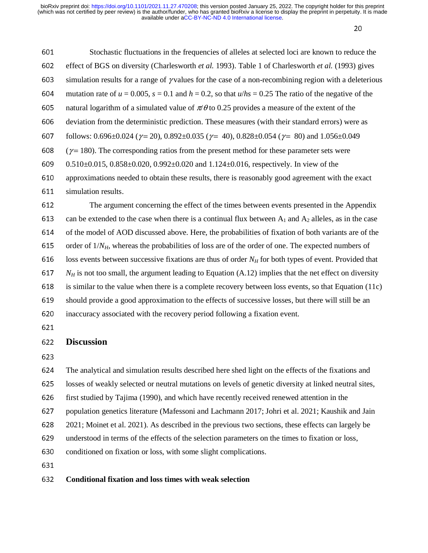$20<sup>2</sup>$ 

| 601 | Stochastic fluctuations in the frequencies of alleles at selected loci are known to reduce the                                               |
|-----|----------------------------------------------------------------------------------------------------------------------------------------------|
| 602 | effect of BGS on diversity (Charlesworth et al. 1993). Table 1 of Charlesworth et al. (1993) gives                                           |
| 603 | simulation results for a range of $\gamma$ values for the case of a non-recombining region with a deleterious                                |
| 604 | mutation rate of $u = 0.005$ , $s = 0.1$ and $h = 0.2$ , so that $u/hs = 0.25$ The ratio of the negative of the                              |
| 605 | natural logarithm of a simulated value of $\pi/\theta$ to 0.25 provides a measure of the extent of the                                       |
| 606 | deviation from the deterministic prediction. These measures (with their standard errors) were as                                             |
| 607 | follows: $0.696 \pm 0.024$ ( $\gamma = 20$ ), $0.892 \pm 0.035$ ( $\gamma = 40$ ), $0.828 \pm 0.054$ ( $\gamma = 80$ ) and $1.056 \pm 0.049$ |
| 608 | $(\gamma = 180)$ . The corresponding ratios from the present method for these parameter sets were                                            |
| 609 | $0.510\pm0.015$ , $0.858\pm0.020$ , $0.992\pm0.020$ and $1.124\pm0.016$ , respectively. In view of the                                       |
| 610 | approximations needed to obtain these results, there is reasonably good agreement with the exact                                             |
| 611 | simulation results.                                                                                                                          |
| 612 | The argument concerning the effect of the times between events presented in the Appendix                                                     |
| 613 | can be extended to the case when there is a continual flux between $A_1$ and $A_2$ alleles, as in the case                                   |
| 614 | of the model of AOD discussed above. Here, the probabilities of fixation of both variants are of the                                         |
| 615 | order of $1/N_H$ , whereas the probabilities of loss are of the order of one. The expected numbers of                                        |
| 616 | loss events between successive fixations are thus of order $N_H$ for both types of event. Provided that                                      |
| 617 | $N_H$ is not too small, the argument leading to Equation (A.12) implies that the net effect on diversity                                     |

618 is similar to the value when there is a complete recovery between loss events, so that Equation (11c)<br>619 should provide a good approximation to the effects of successive losses, but there will still be an

should provide a good approximation to the effects of successive losses, but there will still be an 620 inaccuracy associated with the recovery period following a fixation event.

## **Discussion**

623<br>624

The analytical and simulation results described here shed light on the effects of the fixations and

625 losses of weakly selected or neutral mutations on levels of genetic diversity at linked neutral sites,

626 first studied by Tajima (1990), and which have recently received renewed attention in the<br>627 bopulation genetics literature (Mafessoni and Lachmann 2017: Johri et al. 2021: Kaushik

population genetics literature (Mafessoni and Lachmann 2017; Johri et al. 2021; Kaushik and Jain

2021; Moinet et al. 2021). As described in the previous two sections, these effects can largely be

629 understood in terms of the effects of the selection parameters on the times to fixation or loss,

630 conditioned on fixation or loss, with some slight complications.

# **Conditional fixation and loss times with weak selection**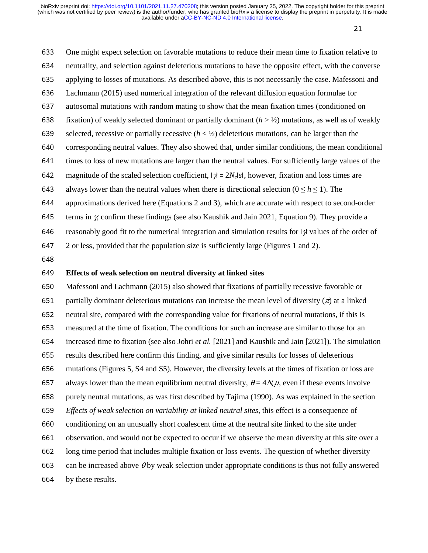21

<sup>633</sup>One might expect selection on favorable mutations to reduce their mean time to fixation relative to 634 neutrality, and selection against deleterious mutations to have the opposite effect, with the converse 635 applying to losses of mutations. As described above, this is not necessarily the case. Mafessoni and <sup>636</sup>Lachmann (2015) used numerical integration of the relevant diffusion equation formulae for 637 autosomal mutations with random mating to show that the mean fixation times (conditioned on 638 fixation) of weakly selected dominant or partially dominant  $(h > \frac{1}{2})$  mutations, as well as of weakly 639 selected, recessive or partially recessive  $(h < \frac{1}{2})$  deleterious mutations, can be larger than the 640 corresponding neutral values. They also showed that, under similar conditions, the mean conditional 641 times to loss of new mutations are larger than the neutral values. For sufficiently large values of the 642 magnitude of the scaled selection coefficient,  $|\gamma| = 2N_e|s|$ , however, fixation and loss times are 643 always lower than the neutral values when there is directional selection ( $0 \le h \le 1$ ). The approximations derived here (Equations 2 and 3), which are accurate with respect to sec approximations derived here (Equations 2 and 3), which are accurate with respect to second-order 645 terms in  $\chi$  confirm these findings (see also Kaushik and Jain 2021, Equation 9). They provide a 646 reasonably good fit to the numerical integration and simulation results for  $\frac{1}{12}$  values of the order of <sup>647</sup>2 or less, provided that the population size is sufficiently large (Figures 1 and 2). 648

# <sup>649</sup>**Effects of weak selection on neutral diversity at linked sites**

650 Mafessoni and Lachmann (2015) also showed that fixations of partially recessive favorable or 651 partially dominant deleterious mutations can increase the mean level of diversity ( $\pi$ ) at a linked 652 neutral site, compared with the corresponding value for fixations of neutral mutations, if this is<br>653 neasured at the time of fixation. The conditions for such an increase are similar to those for an measured at the time of fixation. The conditions for such an increase are similar to those for an <sup>654</sup>increased time to fixation (see also Johri *et al.* [2021] and Kaushik and Jain [2021]). The simulation 655 results described here confirm this finding, and give similar results for losses of deleterious 656 mutations (Figures 5, S4 and S5). However, the diversity levels at the times of fixation or loss are 657 always lower than the mean equilibrium neutral diversity,  $\theta = 4N_e\mu$ , even if these events involve 658 purely neutral mutations, as was first described by Tajima (1990). As was explained in the section <sup>659</sup>*Effects of weak selection on variability at linked neutral sites*, this effect is a consequence of 660 conditioning on an unusually short coalescent time at the neutral site linked to the site under 661 observation, and would not be expected to occur if we observe the mean diversity at this site over a 662 long time period that includes multiple fixation or loss events. The question of whether diversity 663 can be increased above  $\theta$  by weak selection under appropriate conditions is thus not fully answered 664 by these results.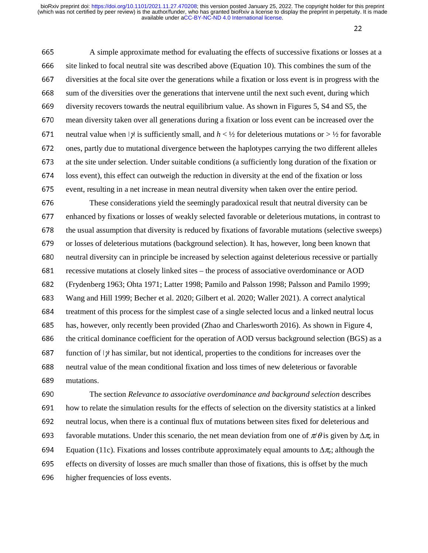22

665 A simple approximate method for evaluating the effects of successive fixations or losses at a 666 site linked to focal neutral site was described above (Equation 10). This combines the sum of the 667 diversities at the focal site over the generations while a fixation or loss event is in progress with the 668 sum of the diversities over the generations that intervene until the next such event, during which 669 diversity recovers towards the neutral equilibrium value. As shown in Figures 5, S4 and S5, the 670 mean diversity taken over all generations during a fixation or loss event can be increased over the 671 neutral value when I<sub>I</sub>I is sufficiently small, and  $h < \frac{1}{2}$  for deleterious mutations or  $> \frac{1}{2}$  for favorable 672 ones, partly due to mutational divergence between the haplotypes carrying the two different alleles 673 at the site under selection. Under suitable conditions (a sufficiently long duration of the fixation or <sup>674</sup>loss event), this effect can outweigh the reduction in diversity at the end of the fixation or loss 675 event, resulting in a net increase in mean neutral diversity when taken over the entire period.

676 These considerations yield the seemingly paradoxical result that neutral diversity can be 677 enhanced by fixations or losses of weakly selected favorable or deleterious mutations, in contrast to 678 the usual assumption that diversity is reduced by fixations of favorable mutations (selective sweeps) 679 or losses of deleterious mutations (background selection). It has, however, long been known that 680 neutral diversity can in principle be increased by selection against deleterious recessive or partially 681 recessive mutations at closely linked sites – the process of associative overdominance or AOD <sup>682</sup>(Frydenberg 1963; Ohta 1971; Latter 1998; Pamilo and Palsson 1998; Palsson and Pamilo 1999; <sup>683</sup>Wang and Hill 1999; Becher et al. 2020; Gilbert et al. 2020; Waller 2021). A correct analytical 684 treatment of this process for the simplest case of a single selected locus and a linked neutral locus 685 has, however, only recently been provided (Zhao and Charlesworth 2016). As shown in Figure 4, 686 the critical dominance coefficient for the operation of AOD versus background selection (BGS) as a 687 function of  $\frac{1}{1}$  has similar, but not identical, properties to the conditions for increases over the <sup>688</sup>neutral value of the mean conditional fixation and loss times of new deleterious or favorable 689 mutations.

<sup>690</sup>The section *Relevance to associative overdominance and background selection* describes 691 how to relate the simulation results for the effects of selection on the diversity statistics at a linked 692 neutral locus, when there is a continual flux of mutations between sites fixed for deleterious and 693 favorable mutations. Under this scenario, the net mean deviation from one of  $\pi/\theta$  is given by  $\Delta \pi_e$  in 694 Equation (11c). Fixations and losses contribute approximately equal amounts to  $\Delta \pi$ ; although the 695 effects on diversity of losses are much smaller than those of fixations, this is offset by the much 696 higher frequencies of loss events.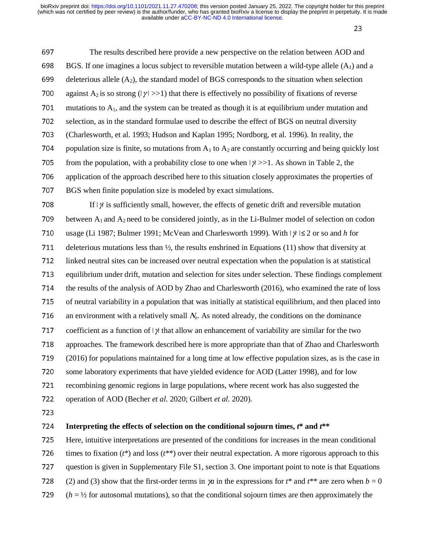23

697 The results described here provide a new perspective on the relation between AOD and 698 BGS. If one imagines a locus subject to reversible mutation between a wild-type allele  $(A_1)$  and a 699 deleterious allele  $(A_2)$ , the standard model of BGS corresponds to the situation when selection 700 against A<sub>2</sub> is so strong ( $|\gamma| >> 1$ ) that there is effectively no possibility of fixations of reverse 701 mutations to  $A_1$ , and the system can be treated as though it is at equilibrium under mutation and 702 selection, as in the standard formulae used to describe the effect of BGS on neutral diversity <sup>703</sup>(Charlesworth, et al. 1993; Hudson and Kaplan 1995; Nordborg, et al. 1996). In reality, the 704 population size is finite, so mutations from  $A_1$  to  $A_2$  are constantly occurring and being quickly lost 705 from the population, with a probability close to one when  $|\gamma| >> 1$ . As shown in Table 2, the 706 application of the approach described here to this situation closely approximates the properties of 707 BGS when finite population size is modeled by exact simulations.  $708$  If  $\frac{1}{\gamma}$  is sufficiently small, however, the effects of genetic drift and reversible mutation 709 between  $A_1$  and  $A_2$  need to be considered jointly, as in the Li-Bulmer model of selection on codon 710 usage (Li 1987; Bulmer 1991; McVean and Charlesworth 1999). With I<sub>∤</sub>I I≤ 2 or so and *h* for 711 deleterious mutations less than  $\frac{1}{2}$ , the results enshrined in Equations (11) show that diversity at 712 linked neutral sites can be increased over neutral expectation when the population is at statistical<br>713 equilibrium under drift, mutation and selection for sites under selection. These findings complements 713 equilibrium under drift, mutation and selection for sites under selection. These findings complement<br>714 the results of the analysis of AOD by Zhao and Charlesworth (2016), who examined the rate of loss the results of the analysis of AOD by Zhao and Charlesworth (2016), who examined the rate of loss 715 of neutral variability in a population that was initially at statistical equilibrium, and then placed into 716 an environment with a relatively small  $N_e$ . As noted already, the conditions on the dominance 717 coefficient as a function of  $\vert \gamma \rangle$  that allow an enhancement of variability are similar for the two 718 approaches. The framework described here is more appropriate than that of Zhao and Charlesworth <sup>719</sup>(2016) for populations maintained for a long time at low effective population sizes, as is the case in 720 some laboratory experiments that have yielded evidence for AOD (Latter 1998), and for low 721 recombining genomic regions in large populations, where recent work has also suggested the 722 operation of AOD (Becher *et al.* 2020; Gilbert *et al.* 2020). 723

# <sup>724</sup>**Interpreting the effects of selection on the conditional sojourn times,** *t***\* and** *t***\*\***

<sup>725</sup>Here, intuitive interpretations are presented of the conditions for increases in the mean conditional

726 times to fixation  $(t^*)$  and loss  $(t^{**})$  over their neutral expectation. A more rigorous approach to this

- 727 question is given in Supplementary File S1, section 3. One important point to note is that Equations
- 728 (2) and (3) show that the first-order terms in  $\chi$  in the expressions for  $t^*$  and  $t^{**}$  are zero when  $b = 0$
- $729$  ( $h = \frac{1}{2}$  for autosomal mutations), so that the conditional sojourn times are then approximately the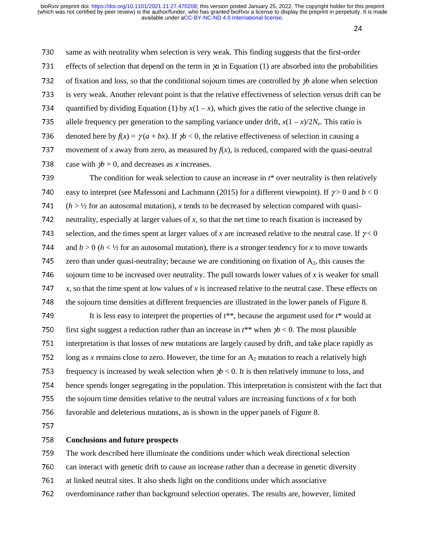24

730 same as with neutrality when selection is very weak. This finding suggests that the first-order 731 effects of selection that depend on the term in  $\chi$  in Equation (1) are absorbed into the probabilities <sup>732</sup>of fixation and loss, so that the conditional sojourn times are controlled by γ*b* alone when selection 733 is very weak. Another relevant point is that the relative effectiveness of selection versus drift can be 734 quantified by dividing Equation (1) by  $x(1 - x)$ , which gives the ratio of the selective change in 735 allele frequency per generation to the sampling variance under drift,  $x(1 - x)/2N_e$ . This ratio is 736 denoted here by  $f(x) = \gamma(a + bx)$ . If  $\gamma b < 0$ , the relative effectiveness of selection in causing a 737 movement of *x* away from zero, as measured by  $f(x)$ , is reduced, compared with the quasi-neutral 738 case with  $\psi = 0$ , and decreases as *x* increases. 739 The condition for weak selection to cause an increase in  $t^*$  over neutrality is then relatively

740 easy to interpret (see Mafessoni and Lachmann (2015) for a different viewpoint). If  $\gamma > 0$  and  $b < 0$  $741$  (*h* > ½ for an autosomal mutation), *x* tends to be decreased by selection compared with quasi-<br>742 neutrality, especially at larger values of *x*, so that the net time to reach fixation is increased by <sup>742</sup>neutrality, especially at larger values of *x*, so that the net time to reach fixation is increased by 743 selection, and the times spent at larger values of *x* are increased relative to the neutral case. If  $\gamma < 0$ 744 and  $b > 0$  ( $h < \frac{1}{2}$  for an autosomal mutation), there is a stronger tendency for *x* to move towards 745 zero than under quasi-neutrality; because we are conditioning on fixation of  $A_2$ , this causes the 746 sojourn time to be increased over neutrality. The pull towards lower values of x is weaker for small <sup>747</sup>*x*, so that the time spent at low values of *x* is increased relative to the neutral case. These effects on 748 the sojourn time densities at different frequencies are illustrated in the lower panels of Figure 8.

749 It is less easy to interpret the properties of  $t^{**}$ , because the argument used for  $t^*$  would at 750 first sight suggest a reduction rather than an increase in  $t^{**}$  when  $\gamma b < 0$ . The most plausible 751 interpretation is that losses of new mutations are largely caused by drift, and take place rapidly as 752 long as *x* remains close to zero. However, the time for an  $A_2$  mutation to reach a relatively high 753 frequency is increased by weak selection when  $\gamma b < 0$ . It is then relatively immune to loss, and 754 hence spends longer segregating in the population. This interpretation is consistent with the fact that 755 the sojourn time densities relative to the neutral values are increasing functions of  $x$  for both 756 favorable and deleterious mutations, as is shown in the upper panels of Figure 8.

757

#### <sup>758</sup>**Conclusions and future prospects**

759 The work described here illuminate the conditions under which weak directional selection

760 can interact with genetic drift to cause an increase rather than a decrease in genetic diversity<br>761 at linked neutral sites. It also sheds light on the conditions under which associative

- at linked neutral sites. It also sheds light on the conditions under which associative
- 762 overdominance rather than background selection operates. The results are, however, limited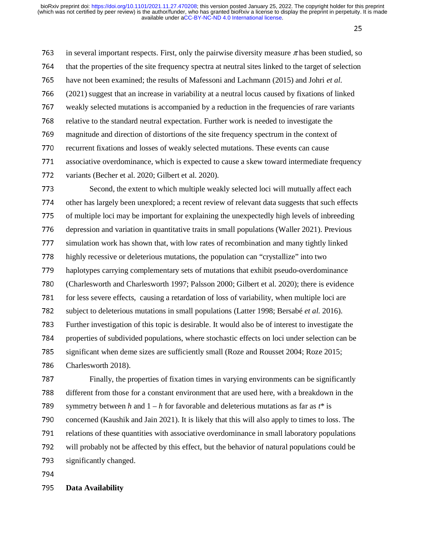25

763 in several important respects. First, only the pairwise diversity measure  $\pi$  has been studied, so 764 that the properties of the site frequency spectra at neutral sites linked to the target of selection 765 have not been examined; the results of Mafessoni and Lachmann (2015) and Johri *et al.*<br>766 (2021) suggest that an increase in variability at a neutral locus caused by fixations of lin <sup>766</sup>(2021) suggest that an increase in variability at a neutral locus caused by fixations of linked 767 weakly selected mutations is accompanied by a reduction in the frequencies of rare variants 768 relative to the standard neutral expectation. Further work is needed to investigate the 769 magnitude and direction of distortions of the site frequency spectrum in the context of 770 recurrent fixations and losses of weakly selected mutations. These events can cause 771 associative overdominance, which is expected to cause a skew toward intermediate frequency 772 variants (Becher et al. 2020; Gilbert et al. 2020). 773 Second, the extent to which multiple weakly selected loci will mutually affect each 774 other has largely been unexplored; a recent review of relevant data suggests that such effects<br>775 of multiple loci may be important for explaining the unexpectedly high levels of inbreeding of multiple loci may be important for explaining the unexpectedly high levels of inbreeding 776 depression and variation in quantitative traits in small populations (Waller 2021). Previous<br>777 simulation work has shown that, with low rates of recombination and many tightly linked  $\frac{1}{2}$  simulation work has shown that, with low rates of recombination and many tightly linked 778 highly recessive or deleterious mutations, the population can "crystallize" into two<br>779 haplotypes carrying complementary sets of mutations that exhibit pseudo-overdomi haplotypes carrying complementary sets of mutations that exhibit pseudo-overdominance 780 (Charlesworth and Charlesworth 1997; Palsson 2000; Gilbert et al. 2020); there is evidence 781 for less severe effects, causing a retardation of loss of variability, when multiple loci are 782 subject to deleterious mutations in small populations (Latter 1998; Bersabé *et al.* 2016). 783 Further investigation of this topic is desirable. It would also be of interest to investigate the 784 properties of subdivided populations, where stochastic effects on loci under selection can be 785 significant when deme sizes are sufficiently small (Roze and Rousset 2004; Roze 2015; 786 Charlesworth 2018). 787 Finally, the properties of fixation times in varying environments can be significantly 788 different from those for a constant environment that are used here, with a breakdown in the

789 symmetry between *h* and  $1 - h$  for favorable and deleterious mutations as far as  $t^*$  is 790 concerned (Kaushik and Jain 2021). It is likely that this will also apply to times to loss. The 791 relations of these quantities with associative overdominance in small laboratory populations<br>792 will probably not be affected by this effect, but the behavior of natural populations could be will probably not be affected by this effect, but the behavior of natural populations could be

793 significantly changed.

794

# <sup>795</sup>**Data Availability**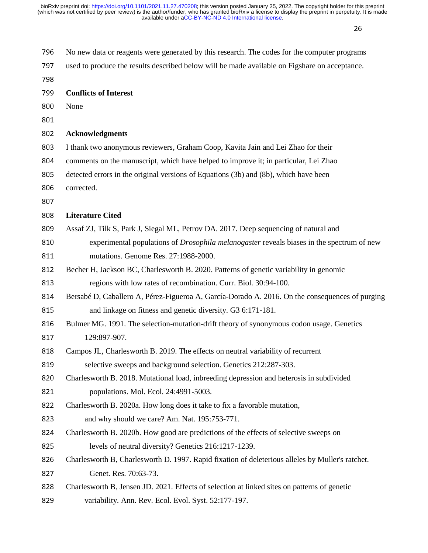| 796 | No new data or reagents were generated by this research. The codes for the computer programs     |
|-----|--------------------------------------------------------------------------------------------------|
| 797 | used to produce the results described below will be made available on Figshare on acceptance.    |
| 798 |                                                                                                  |
| 799 | <b>Conflicts of Interest</b>                                                                     |
| 800 | None                                                                                             |
| 801 |                                                                                                  |
| 802 | <b>Acknowledgments</b>                                                                           |
| 803 | I thank two anonymous reviewers, Graham Coop, Kavita Jain and Lei Zhao for their                 |
| 804 | comments on the manuscript, which have helped to improve it; in particular, Lei Zhao             |
| 805 | detected errors in the original versions of Equations (3b) and (8b), which have been             |
| 806 | corrected.                                                                                       |
| 807 |                                                                                                  |
| 808 | <b>Literature Cited</b>                                                                          |
| 809 | Assaf ZJ, Tilk S, Park J, Siegal ML, Petrov DA. 2017. Deep sequencing of natural and             |
| 810 | experimental populations of <i>Drosophila melanogaster</i> reveals biases in the spectrum of new |
| 811 | mutations. Genome Res. 27:1988-2000.                                                             |
| 812 | Becher H, Jackson BC, Charlesworth B. 2020. Patterns of genetic variability in genomic           |
| 813 | regions with low rates of recombination. Curr. Biol. 30:94-100.                                  |
| 814 | Bersabé D, Caballero A, Pérez-Figueroa A, García-Dorado A. 2016. On the consequences of purging  |
| 815 | and linkage on fitness and genetic diversity. G3 6:171-181.                                      |
| 816 | Bulmer MG. 1991. The selection-mutation-drift theory of synonymous codon usage. Genetics         |
| 817 | 129:897-907.                                                                                     |
| 818 | Campos JL, Charlesworth B. 2019. The effects on neutral variability of recurrent                 |
| 819 | selective sweeps and background selection. Genetics 212:287-303.                                 |
| 820 | Charlesworth B. 2018. Mutational load, inbreeding depression and heterosis in subdivided         |
| 821 | populations. Mol. Ecol. 24:4991-5003.                                                            |
| 822 | Charlesworth B. 2020a. How long does it take to fix a favorable mutation,                        |
| 823 | and why should we care? Am. Nat. 195:753-771.                                                    |
| 824 | Charlesworth B. 2020b. How good are predictions of the effects of selective sweeps on            |
| 825 | levels of neutral diversity? Genetics 216:1217-1239.                                             |
| 826 | Charlesworth B, Charlesworth D. 1997. Rapid fixation of deleterious alleles by Muller's ratchet. |
| 827 | Genet. Res. 70:63-73.                                                                            |
| 828 | Charlesworth B, Jensen JD. 2021. Effects of selection at linked sites on patterns of genetic     |
| 829 | variability. Ann. Rev. Ecol. Evol. Syst. 52:177-197.                                             |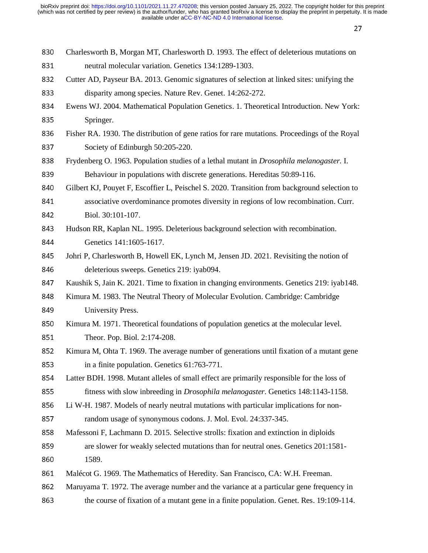| 830 | Charlesworth B, Morgan MT, Charlesworth D. 1993. The effect of deleterious mutations on          |
|-----|--------------------------------------------------------------------------------------------------|
| 831 | neutral molecular variation. Genetics 134:1289-1303.                                             |
| 832 | Cutter AD, Payseur BA. 2013. Genomic signatures of selection at linked sites: unifying the       |
| 833 | disparity among species. Nature Rev. Genet. 14:262-272.                                          |
| 834 | Ewens WJ. 2004. Mathematical Population Genetics. 1. Theoretical Introduction. New York:         |
| 835 | Springer.                                                                                        |
| 836 | Fisher RA. 1930. The distribution of gene ratios for rare mutations. Proceedings of the Royal    |
| 837 | Society of Edinburgh 50:205-220.                                                                 |
| 838 | Frydenberg O. 1963. Population studies of a lethal mutant in <i>Drosophila melanogaster</i> . I. |
| 839 | Behaviour in populations with discrete generations. Hereditas 50:89-116.                         |
| 840 | Gilbert KJ, Pouyet F, Escoffier L, Peischel S. 2020. Transition from background selection to     |
| 841 | associative overdominance promotes diversity in regions of low recombination. Curr.              |
| 842 | Biol. 30:101-107.                                                                                |
| 843 | Hudson RR, Kaplan NL. 1995. Deleterious background selection with recombination.                 |
| 844 | Genetics 141:1605-1617.                                                                          |
| 845 | Johri P, Charlesworth B, Howell EK, Lynch M, Jensen JD. 2021. Revisiting the notion of           |
| 846 | deleterious sweeps. Genetics 219: iyab094.                                                       |
| 847 | Kaushik S, Jain K. 2021. Time to fixation in changing environments. Genetics 219: iyab148.       |
| 848 | Kimura M. 1983. The Neutral Theory of Molecular Evolution. Cambridge: Cambridge                  |
| 849 | University Press.                                                                                |
| 850 | Kimura M. 1971. Theoretical foundations of population genetics at the molecular level.           |
| 851 | Theor. Pop. Biol. 2:174-208.                                                                     |
| 852 | Kimura M, Ohta T. 1969. The average number of generations until fixation of a mutant gene        |
| 853 | in a finite population. Genetics 61:763-771.                                                     |
| 854 | Latter BDH. 1998. Mutant alleles of small effect are primarily responsible for the loss of       |
| 855 | fitness with slow inbreeding in <i>Drosophila melanogaster</i> . Genetics 148:1143-1158.         |
| 856 | Li W-H. 1987. Models of nearly neutral mutations with particular implications for non-           |
| 857 | random usage of synonymous codons. J. Mol. Evol. 24:337-345.                                     |
| 858 | Mafessoni F, Lachmann D. 2015. Selective strolls: fixation and extinction in diploids            |
| 859 | are slower for weakly selected mutations than for neutral ones. Genetics 201:1581-               |
| 860 | 1589.                                                                                            |
| 861 | Malécot G. 1969. The Mathematics of Heredity. San Francisco, CA: W.H. Freeman.                   |
| 862 | Maruyama T. 1972. The average number and the variance at a particular gene frequency in          |
| 863 | the course of fixation of a mutant gene in a finite population. Genet. Res. 19:109-114.          |
|     |                                                                                                  |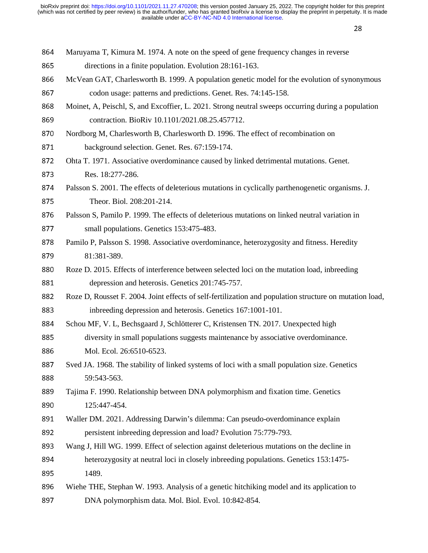| 864 | Maruyama T, Kimura M. 1974. A note on the speed of gene frequency changes in reverse                    |
|-----|---------------------------------------------------------------------------------------------------------|
| 865 | directions in a finite population. Evolution 28:161-163.                                                |
| 866 | McVean GAT, Charlesworth B. 1999. A population genetic model for the evolution of synonymous            |
| 867 | codon usage: patterns and predictions. Genet. Res. 74:145-158.                                          |
| 868 | Moinet, A, Peischl, S, and Excoffier, L. 2021. Strong neutral sweeps occurring during a population      |
| 869 | contraction. BioRiv 10.1101/2021.08.25.457712.                                                          |
| 870 | Nordborg M, Charlesworth B, Charlesworth D. 1996. The effect of recombination on                        |
| 871 | background selection. Genet. Res. 67:159-174.                                                           |
| 872 | Ohta T. 1971. Associative overdominance caused by linked detrimental mutations. Genet.                  |
| 873 | Res. 18:277-286.                                                                                        |
| 874 | Palsson S. 2001. The effects of deleterious mutations in cyclically parthenogenetic organisms. J.       |
| 875 | Theor. Biol. 208:201-214.                                                                               |
| 876 | Palsson S, Pamilo P. 1999. The effects of deleterious mutations on linked neutral variation in          |
| 877 | small populations. Genetics 153:475-483.                                                                |
| 878 | Pamilo P, Palsson S. 1998. Associative overdominance, heterozygosity and fitness. Heredity              |
| 879 | 81:381-389.                                                                                             |
| 880 | Roze D. 2015. Effects of interference between selected loci on the mutation load, inbreeding            |
| 881 | depression and heterosis. Genetics 201:745-757.                                                         |
| 882 | Roze D, Rousset F. 2004. Joint effects of self-fertilization and population structure on mutation load, |
| 883 | inbreeding depression and heterosis. Genetics 167:1001-101.                                             |
| 884 | Schou MF, V. L, Bechsgaard J, Schlötterer C, Kristensen TN. 2017. Unexpected high                       |
| 885 | diversity in small populations suggests maintenance by associative overdominance.                       |
| 886 | Mol. Ecol. 26:6510-6523.                                                                                |
| 887 | Sved JA. 1968. The stability of linked systems of loci with a small population size. Genetics           |
| 888 | 59:543-563.                                                                                             |
| 889 | Tajima F. 1990. Relationship between DNA polymorphism and fixation time. Genetics                       |
| 890 | 125:447-454.                                                                                            |
| 891 | Waller DM. 2021. Addressing Darwin's dilemma: Can pseudo-overdominance explain                          |
| 892 | persistent inbreeding depression and load? Evolution 75:779-793.                                        |
| 893 | Wang J, Hill WG. 1999. Effect of selection against deleterious mutations on the decline in              |
| 894 | heterozygosity at neutral loci in closely inbreeding populations. Genetics 153:1475-                    |
| 895 | 1489.                                                                                                   |
| 896 | Wiehe THE, Stephan W. 1993. Analysis of a genetic hitchiking model and its application to               |
| 897 | DNA polymorphism data. Mol. Biol. Evol. 10:842-854.                                                     |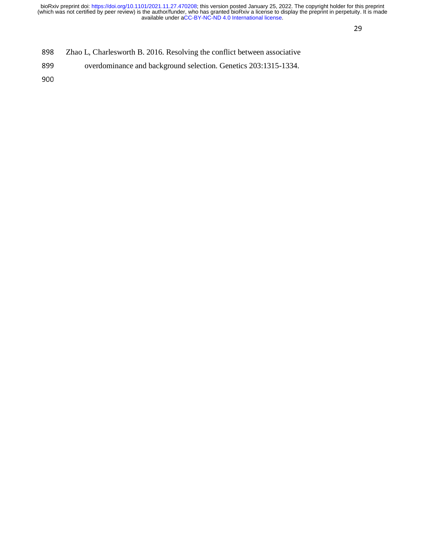- 898 Zhao L, Charlesworth B. 2016. Resolving the conflict between associative<br>899 overdominance and background selection. Genetics 203:1315-1334.
- overdominance and background selection. Genetics 203:1315-1334.
- 900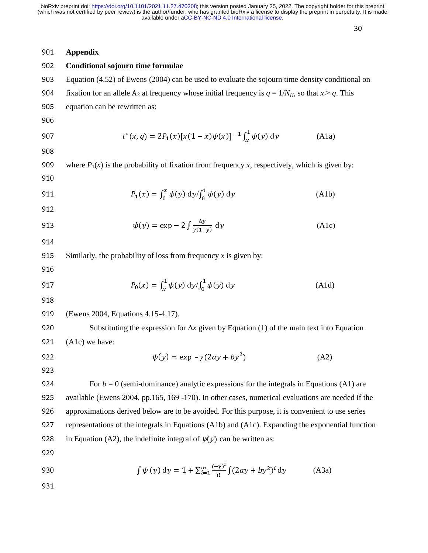$30<sub>o</sub>$ 

| 901 | <b>Appendix</b>                                                                                                      |
|-----|----------------------------------------------------------------------------------------------------------------------|
| 902 | Conditional sojourn time formulae                                                                                    |
| 903 | Equation (4.52) of Ewens (2004) can be used to evaluate the sojourn time density conditional on                      |
| 904 | fixation for an allele A <sub>2</sub> at frequency whose initial frequency is $q = 1/N_H$ , so that $x \ge q$ . This |
| 905 | equation can be rewritten as:                                                                                        |
| 906 |                                                                                                                      |
| 907 | $t^{*}(x, q) = 2P_1(x)[x(1-x)\psi(x)]^{-1} \int_{x}^{1} \psi(y) dy$<br>(A1a)                                         |
| 908 |                                                                                                                      |
| 909 | where $P_1(x)$ is the probability of fixation from frequency x, respectively, which is given by:                     |
| 910 |                                                                                                                      |
| 911 | $P_1(x) = \int_0^x \psi(y) \, dy / \int_0^1 \psi(y) \, dy$<br>(A1b)                                                  |
| 912 |                                                                                                                      |
| 913 | $\psi(y) = \exp - 2 \int \frac{\Delta y}{\nu(1-\nu)} dy$<br>(A1c)                                                    |
| 914 |                                                                                                                      |
| 915 | Similarly, the probability of loss from frequency $x$ is given by:                                                   |
| 916 |                                                                                                                      |
| 917 | $P_0(x) = \int_x^1 \psi(y) \, dy / \int_0^1 \psi(y) \, dy$<br>(A1d)                                                  |
| 918 |                                                                                                                      |
| 919 | (Ewens 2004, Equations 4.15-4.17).                                                                                   |
| 920 | Substituting the expression for $\Delta x$ given by Equation (1) of the main text into Equation                      |
| 921 | (A1c) we have:                                                                                                       |
| 922 | $\psi(y) = \exp(-\gamma(2ay + by^2))$<br>(A2)                                                                        |
| 923 |                                                                                                                      |
| 924 | For $b = 0$ (semi-dominance) analytic expressions for the integrals in Equations (A1) are                            |
| 925 | available (Ewens 2004, pp.165, 169 -170). In other cases, numerical evaluations are needed if the                    |
| 926 | approximations derived below are to be avoided. For this purpose, it is convenient to use series                     |
| 927 | representations of the integrals in Equations (A1b) and (A1c). Expanding the exponential function                    |
| 928 | in Equation (A2), the indefinite integral of $\psi(y)$ can be written as:                                            |
| 929 |                                                                                                                      |
| 930 | $\int \psi(y) dy = 1 + \sum_{i=1}^{\infty} \frac{(-y)^i}{i!} \int (2ay + by^2)^i dy$<br>(A3a)                        |
| 931 |                                                                                                                      |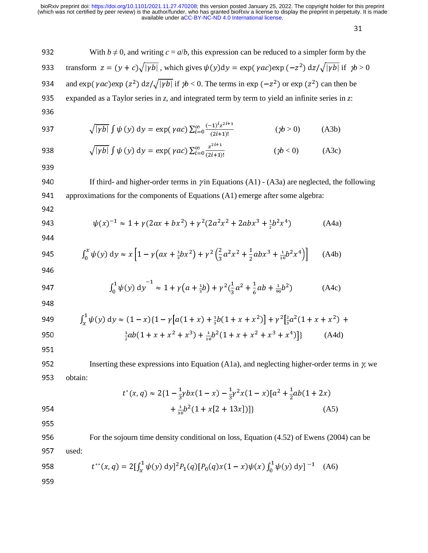932 With 
$$
b \ne 0
$$
, and writing  $c = a/b$ , this expression can be reduced to a simpler form by the  
\n933 transform  $z = (y + c)\sqrt{|yb|}$ , which gives  $\psi(y)dy = \exp(\gamma ac) \exp(-z^2) dz/\sqrt{|yb|}$  if  $yb > 0$   
\n934 and  $\exp(\gamma ac) \exp(z^2) dz/\sqrt{|yb|}$  if  $yb > 0$ . The terms in  $\exp(-z^2)$  or  $\exp(z^2)$  can then be  
\n935 expanded as a Taylor series in  $z$ , and integrated term by term to yield an infinite series in  $z$ :  
\n936  
\n937  $\sqrt{|yb|} \int \psi(y) dy = \exp(\gamma ac) \sum_{i=0}^{\infty} \frac{(-1)^i z^{2i+1}}{(2i+1)!}$   $(yb > 0)$  (A3b)  
\n938  $\sqrt{|pb|} \int \psi(y) dy = \exp(\gamma ac) \sum_{i=0}^{\infty} \frac{z^{2i+1}}{(2i+1)!}$   $(yb < 0)$  (A3c)  
\n939  
\n940 If third- and higher-order terms in  $\gamma$  in Equations (A1) - (A3a) are neglected, the following  
\n941 approximations for the components of Equations (A1) emerge after some algebra:  
\n942  
\n943  $\psi(x)^{-1} \approx 1 + \gamma(2ax + bx^2) + \gamma^2(2a^2x^2 + 2abx^3 + \frac{1}{2}b^2x^4)$  (A4a)  
\n944  
\n945  $\int_0^x \psi(y) dy \approx x \left[1 - \gamma(ax + \frac{1}{2}bx^2)\right] + \gamma^2(\frac{2}{3}a^2x^2 + \frac{1}{2}abx^3 + \frac{1}{10}b^2x^4)\right]$  (A4b)  
\n946  
\n947  $\int_0^1 \psi(y) dy^{-1} \approx 1 + \gamma(a + \frac{1}{2}b) + \gamma^2(\frac{1}{3}a^2 + \frac{1}{6}ab + \frac{1}{30}b^2)$  (A4c)  
\n948  
\n949  $\int_x^1 \psi(y) dy \approx (1 - x)\{1 - \gamma[a(1 + x) + \frac{1}{3}b(1 + x +$ 

$$
t^*(x,q) \approx 2\{1 - \frac{1}{3}ybx(1-x) - \frac{1}{3}y^2x(1-x)[a^2 + \frac{1}{2}ab(1+2x) + \frac{1}{30}b^2(1+x[2+13x])]\}
$$
(A5)

955

956 For the sojourn time density conditional on loss, Equation (4.52) of Ewens (2004) can be 957 used:

958 
$$
t^{**}(x,q) = 2[\int_x^1 \psi(y) \, dy]^2 P_1(q) [P_0(q)x(1-x)\psi(x) \int_0^1 \psi(y) \, dy]^{-1} \quad (A6)
$$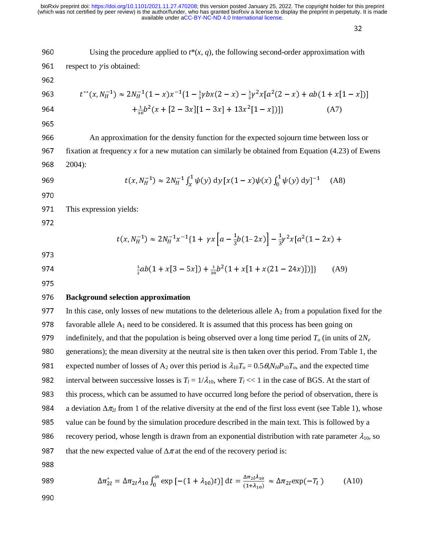$32$ 

960 Using the procedure applied to 
$$
t^*(x, q)
$$
, the following second-order approximation with  
\n961 respect to *y* is obtained:  
\n962  
\n $t^{**}(x, N_n^{-1}) \approx 2N_n^{-1}(1 - x)x^{-1}\{1 - \frac{1}{2}ybx(2 - x) - \frac{1}{2}y^2x[a^2(2 - x) + ab(1 + x[1 - x])]\}$   
\n964  
\n $+ \frac{1}{36}b^2(x + [2 - 3x][1 - 3x] + 13x^2[1 - x])\}$  (A7)  
\n965  
\nAn approximation for the density function for the expected sojoum time between loss or  
\n967 fixation at frequency *x* for a new mutation can similarly be obtained from Equation (4.23) of Ewens  
\n968 2004):  
\n969  
\n $t(x, N_n^{-1}) \approx 2N_n^{-1} \int_x^1 \psi(y) dy [x(1 - x)\psi(x) \int_0^1 \psi(y) dy]^{-1}$  (A8)  
\n970  
\n971 This expression yields:  
\n972  
\n $t(x, N_n^{-1}) \approx 2N_n^{-1}x^{-1}\{1 + yx [a - \frac{1}{3}b(1-2x)] - \frac{1}{3}y^2x[a^2(1-2x) +$   
\n973  
\n974  
\n $\frac{1}{2}ab(1 + x[3 - 5x]) + \frac{1}{40}b^2(1 + x[1 + x(21 - 24x)])\}$  (A9)  
\n975  
\n**Background selection approximation**  
\n971 In this case, only losses of new mutations to the deleterious allele A<sub>2</sub> from a population fixed for the  
\n878 favorable allele A<sub>1</sub> need to be considered. It is assumed that this process has been going on  
\n979 indefinitely, and that the population is being observed over a long time period  $T_o$  (in units of 2N<sub>e</sub>  
\n980 generations); the mean diversity at the neutral site is then taken over this period. From Table 1, the  
\n981 expected number of losses of A<sub>2</sub> over this period is  $\lambda_{10}T_o = 0.5\theta_s N_s P_{10}T_o$ , and the expected time  
\n982 interval between successive losses is  $T_l = 1/\lambda_{10}$ , where  $T_l < 1$  in the case of BGS. At the start of  
\n983 the

988

989 
$$
\Delta \pi_{2l}^* = \Delta \pi_{2l} \lambda_{10} \int_0^\infty \exp\left[ -(1 + \lambda_{10})t \right] dt = \frac{\Delta \pi_{2l} \lambda_{10}}{(1 + \lambda_{10})} \approx \Delta \pi_{2l} \exp(-T_l)
$$
 (A10)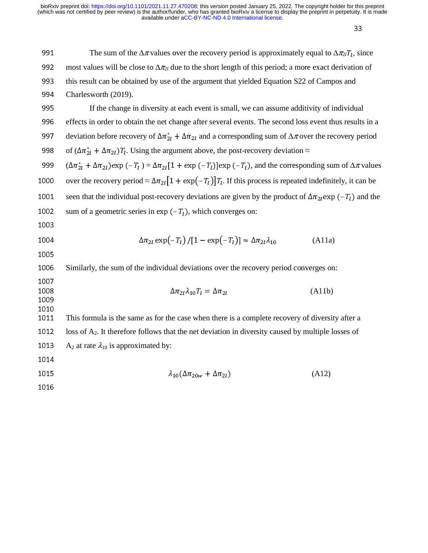| 991                          | The sum of the $\Delta \pi$ values over the recovery period is approximately equal to $\Delta \pi_{2l} T_l$ , since                                     |
|------------------------------|---------------------------------------------------------------------------------------------------------------------------------------------------------|
| 992                          | most values will be close to $\Delta \pi_{2l}$ due to the short length of this period; a more exact derivation of                                       |
| 993                          | this result can be obtained by use of the argument that yielded Equation S22 of Campos and                                                              |
| 994                          | Charlesworth (2019).                                                                                                                                    |
| 995                          | If the change in diversity at each event is small, we can assume additivity of individual                                                               |
| 996                          | effects in order to obtain the net change after several events. The second loss event thus results in a                                                 |
| 997                          | deviation before recovery of $\Delta \pi_{2l}^* + \Delta \pi_{2l}$ and a corresponding sum of $\Delta \pi$ over the recovery period                     |
| 998                          | of $(\Delta \pi_{2l}^* + \Delta \pi_{2l})T_l$ . Using the argument above, the post-recovery deviation $\approx$                                         |
| 999                          | $(\Delta \pi_{2l}^* + \Delta \pi_{2l})$ exp $(-T_l) = \Delta \pi_{2l} [1 + \exp(-T_l)]$ exp $(-T_l)$ , and the corresponding sum of $\Delta \pi$ values |
| 1000                         | over the recovery period $\approx \Delta \pi_{2l} [1 + \exp(-T_l)] T_l$ . If this process is repeated indefinitely, it can be                           |
| 1001                         | seen that the individual post-recovery deviations are given by the product of $\Delta \pi_{21}$ exp (-T <sub>l</sub> ) and the                          |
| 1002                         | sum of a geometric series in exp $(-T_l)$ , which converges on:                                                                                         |
| 1003                         |                                                                                                                                                         |
| 1004                         | $\Delta \pi_{2l} \exp(-T_l)/[1-\exp(-T_l)] \approx \Delta \pi_{2l} \lambda_{10}$<br>(A11a)                                                              |
| 1005                         |                                                                                                                                                         |
| 1006                         | Similarly, the sum of the individual deviations over the recovery period converges on:                                                                  |
| 1007<br>1008<br>1009<br>1010 | $\Delta \pi_{2l} \lambda_{10} T_l = \Delta \pi_{2l}$<br>(A11b)                                                                                          |
| 1011                         | This formula is the same as for the case when there is a complete recovery of diversity after a                                                         |
| 1012                         | loss of $A_2$ . It therefore follows that the net deviation in diversity caused by multiple losses of                                                   |
| 1013                         | $A_2$ at rate $\lambda_{10}$ is approximated by:                                                                                                        |
| 1014                         |                                                                                                                                                         |
| 1015                         | $\lambda_{10}(\Delta \pi_{20w} + \Delta \pi_{2l})$<br>(A12)                                                                                             |
| 1016                         |                                                                                                                                                         |
|                              |                                                                                                                                                         |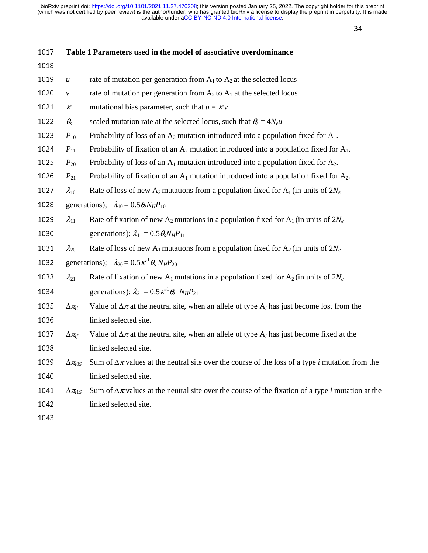| 1017 | Table 1 Parameters used in the model of associative overdominance |                                                                                                                   |  |
|------|-------------------------------------------------------------------|-------------------------------------------------------------------------------------------------------------------|--|
| 1018 |                                                                   |                                                                                                                   |  |
| 1019 | $\boldsymbol{u}$                                                  | rate of mutation per generation from $A_1$ to $A_2$ at the selected locus                                         |  |
| 1020 | $\mathcal V$                                                      | rate of mutation per generation from $A_2$ to $A_1$ at the selected locus                                         |  |
| 1021 | $\boldsymbol{\mathcal{K}}$                                        | mutational bias parameter, such that $u = \kappa v$                                                               |  |
| 1022 | $\theta_{s}$                                                      | scaled mutation rate at the selected locus, such that $\theta_s = 4N_e u$                                         |  |
| 1023 | $P_{10}$                                                          | Probability of loss of an $A_2$ mutation introduced into a population fixed for $A_1$ .                           |  |
| 1024 | $P_{11}$                                                          | Probability of fixation of an $A_2$ mutation introduced into a population fixed for $A_1$ .                       |  |
| 1025 | $P_{20}$                                                          | Probability of loss of an $A_1$ mutation introduced into a population fixed for $A_2$ .                           |  |
| 1026 | $P_{21}$                                                          | Probability of fixation of an $A_1$ mutation introduced into a population fixed for $A_2$ .                       |  |
| 1027 | $\lambda_{10}$                                                    | Rate of loss of new A <sub>2</sub> mutations from a population fixed for A <sub>1</sub> (in units of $2N_e$ )     |  |
| 1028 |                                                                   | generations); $\lambda_{10} = 0.5 \theta_s N_H P_{10}$                                                            |  |
| 1029 | $\lambda_{11}$                                                    | Rate of fixation of new A <sub>2</sub> mutations in a population fixed for A <sub>1</sub> (in units of $2N_e$ )   |  |
| 1030 |                                                                   | generations); $\lambda_{11} = 0.5 \theta_s N_H P_{11}$                                                            |  |
| 1031 | $\lambda_{20}$                                                    | Rate of loss of new A <sub>1</sub> mutations from a population fixed for A <sub>2</sub> (in units of $2N_e$ )     |  |
| 1032 |                                                                   | generations); $\lambda_{20} = 0.5 \,\kappa^{-1} \theta_s N_H P_{20}$                                              |  |
| 1033 | $\lambda_{21}$                                                    | Rate of fixation of new A <sub>1</sub> mutations in a population fixed for A <sub>2</sub> (in units of $2N_e$ )   |  |
| 1034 |                                                                   | generations); $\lambda_{21} = 0.5 \,\kappa^{-1} \theta_s \, N_H P_{21}$                                           |  |
| 1035 | $\Delta \pi_{il}$                                                 | Value of $\Delta \pi$ at the neutral site, when an allele of type $A_i$ has just become lost from the             |  |
| 1036 |                                                                   | linked selected site.                                                                                             |  |
| 1037 | $\Delta \pi_{\!\scriptscriptstyle f}$                             | Value of $\Delta \pi$ at the neutral site, when an allele of type $A_i$ has just become fixed at the              |  |
| 1038 |                                                                   | linked selected site.                                                                                             |  |
| 1039 | $\Delta \pi_{i0S}$                                                | Sum of $\Delta \pi$ values at the neutral site over the course of the loss of a type <i>i</i> mutation from the   |  |
| 1040 |                                                                   | linked selected site.                                                                                             |  |
| 1041 | $\Delta \pi_{i1S}$                                                | Sum of $\Delta \pi$ values at the neutral site over the course of the fixation of a type <i>i</i> mutation at the |  |
| 1042 |                                                                   | linked selected site.                                                                                             |  |
| 1043 |                                                                   |                                                                                                                   |  |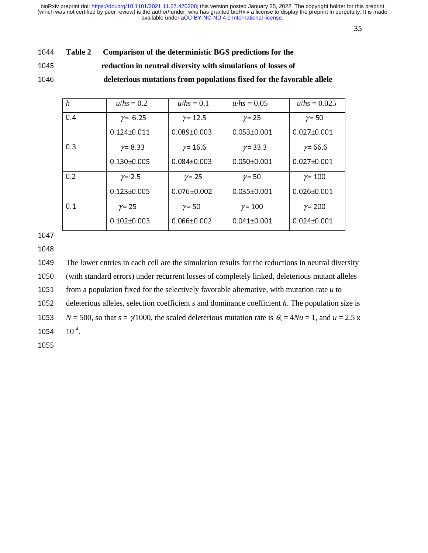$355$ 

| 1044 | Table 2 Comparison of the deterministic BGS predictions for the |
|------|-----------------------------------------------------------------|
|      |                                                                 |

<sup>1045</sup>**reduction in neutral diversity with simulations of losses of** 

<sup>1046</sup>**deleterious mutations from populations fixed for the favorable allele** 

| h   | $u/hs = 0.2$      | $u/hs = 0.1$      | $u/hs = 0.05$     | $u/hs = 0.025$    |
|-----|-------------------|-------------------|-------------------|-------------------|
| 0.4 | $\gamma = 6.25$   | $\gamma$ = 12.5   | $\gamma = 25$     | $\gamma$ = 50     |
|     | $0.124 \pm 0.011$ | $0.089 \pm 0.003$ | $0.053 \pm 0.001$ | $0.027 \pm 0.001$ |
| 0.3 | $\gamma = 8.33$   | $\gamma$ = 16.6   | $\gamma$ = 33.3   | $\gamma$ = 66.6   |
|     | $0.130 \pm 0.005$ | $0.084 \pm 0.003$ | $0.050 \pm 0.001$ | $0.027 \pm 0.001$ |
| 0.2 | $\gamma$ = 2.5    | $\gamma = 25$     | $\gamma$ = 50     | $\gamma$ = 100    |
|     | $0.123 + 0.005$   | $0.076 \pm 0.002$ | $0.035 + 0.001$   | $0.026 \pm 0.001$ |
| 0.1 | $\gamma = 25$     | $\gamma$ = 50     | $\gamma$ = 100    | $\gamma$ = 200    |
|     | $0.102 + 0.003$   | $0.066 + 0.002$   | $0.041 + 0.001$   | $0.024 + 0.001$   |

1047

1048

<sup>1049</sup>The lower entries in each cell are the simulation results for the reductions in neutral diversity

<sup>1050</sup>(with standard errors) under recurrent losses of completely linked, deleterious mutant alleles

1051 from a population fixed for the selectively favorable alternative, with mutation rate  $u$  to

1052 deleterious alleles, selection coefficient *s* and dominance coefficient *h*. The population size is

1053  $N = 500$ , so that  $s = \gamma$ 1000, the scaled deleterious mutation rate is  $\theta_s = 4Nu = 1$ , and  $u = 2.5 \times 10^{4}$ .

1054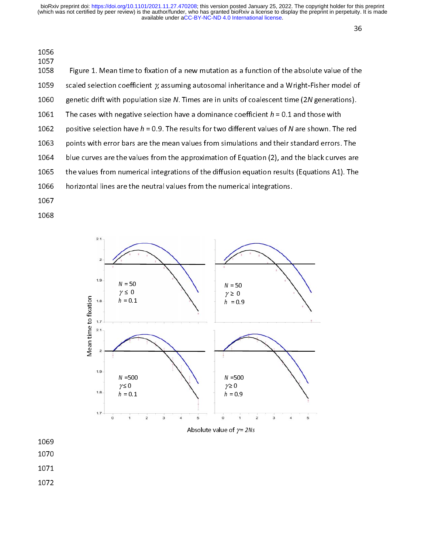which was not certified by peer review) is the author/funder, who has granted bioRxiv a license to display the preprint in perpetuity. It is made<br>available under [aCC-BY-NC-ND 4.0 International license.](http://creativecommons.org/licenses/by-nc-nd/4.0/) bioRxiv preprint doi: [https://doi.org/10.1101/2021.11.27.470208;](https://doi.org/10.1101/2021.11.27.470208) this version posted January 25, 2022. The copyright holder for this preprint

| 1056<br>1057 |                                                                                                   |
|--------------|---------------------------------------------------------------------------------------------------|
| 1058         | Figure 1. Mean time to fixation of a new mutation as a function of the absolute value of the      |
| 1059         | scaled selection coefficient $\gamma$ assuming autosomal inheritance and a Wright-Fisher model of |
| 1060         | genetic drift with population size N. Times are in units of coalescent time (2N generations).     |
| 1061         | The cases with negative selection have a dominance coefficient $h = 0.1$ and those with           |
| 1062         | positive selection have $h = 0.9$ . The results for two different values of N are shown. The red  |
| 1063         | points with error bars are the mean values from simulations and their standard errors. The        |
| 1064         | blue curves are the values from the approximation of Equation (2), and the black curves are       |
| 1065         | the values from numerical integrations of the diffusion equation results (Equations A1). The      |
| 1066         | horizontal lines are the neutral values from the numerical integrations.                          |
| 1007         |                                                                                                   |

- 1067
- 1068



- 1069
- 1070
- 1071
- 1072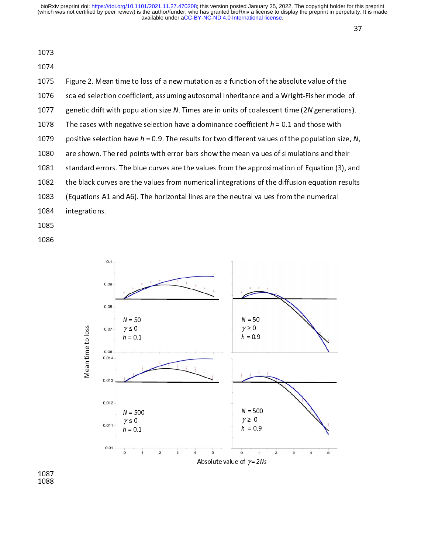1074

| 1075 | Figure 2. Mean time to loss of a new mutation as a function of the absolute value of the            |
|------|-----------------------------------------------------------------------------------------------------|
| 1076 | scaled selection coefficient, assuming autosomal inheritance and a Wright-Fisher model of           |
| 1077 | genetic drift with population size N. Times are in units of coalescent time (2N generations).       |
| 1078 | The cases with negative selection have a dominance coefficient $h = 0.1$ and those with             |
| 1079 | positive selection have $h = 0.9$ . The results for two different values of the population size, N, |
| 1080 | are shown. The red points with error bars show the mean values of simulations and their             |
| 1081 | standard errors. The blue curves are the values from the approximation of Equation (3), and         |
| 1082 | the black curves are the values from numerical integrations of the diffusion equation results       |
| 1083 | (Equations A1 and A6). The horizontal lines are the neutral values from the numerical               |
| 1084 | integrations.                                                                                       |
| 1085 |                                                                                                     |
|      |                                                                                                     |

1086



 $\frac{1007}{1088}$ 1000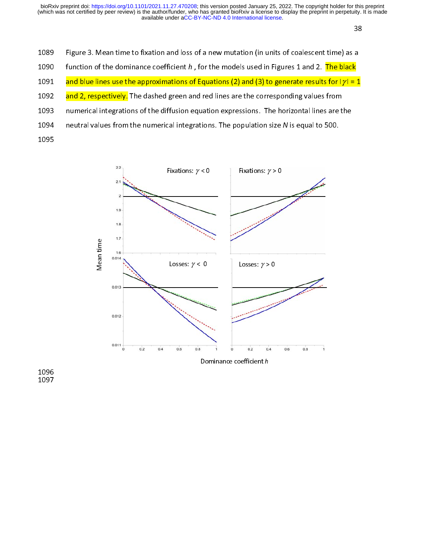$388$   $388$   $388$   $388$   $388$   $388$   $388$   $388$   $388$   $388$   $388$   $388$   $388$   $388$   $388$   $388$   $388$   $388$   $388$   $388$   $388$   $388$   $388$   $388$   $388$   $388$   $388$   $388$   $388$   $388$   $388$   $388$   $388$   $388$   $388$   $388$   $388$ 

- 1089 Figure 3. Mean time to fixation and loss of a new mutation (in units of coalescent time) as a
- 1090 function of the dominance coefficient h, for the models used in Figures 1 and 2. The black
- 1091 and blue lines use the approximations of Equations (2) and (3) to generate results for  $|y| = 1$
- 1092 and 2, respectively. The dashed green and red lines are the corresponding values from
- 1093 numerical integrations of the diffusion equation expressions. The horizontal lines are the
- 1094 neutral values from the numerical integrations. The population size N is equal to 500.
- 1095

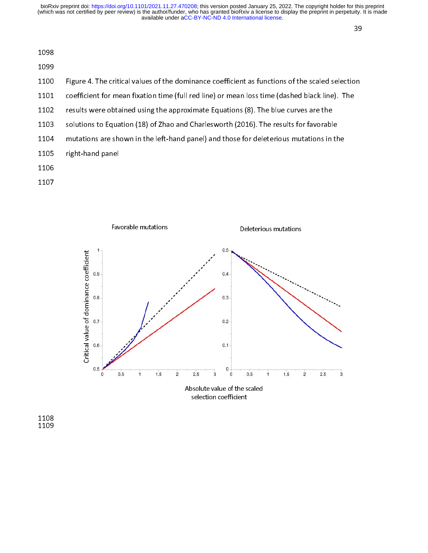| 1098 |                                                                                                 |
|------|-------------------------------------------------------------------------------------------------|
| 1099 |                                                                                                 |
| 1100 | Figure 4. The critical values of the dominance coefficient as functions of the scaled selection |
| 1101 | coefficient for mean fixation time (full red line) or mean loss time (dashed black line). The   |
| 1102 | results were obtained using the approximate Equations (8). The blue curves are the              |
| 1103 | solutions to Equation (18) of Zhao and Charlesworth (2016). The results for favorable           |
| 1104 | mutations are shown in the left-hand panel) and those for deleterious mutations in the          |
| 1105 | right-hand panel                                                                                |
| 1106 |                                                                                                 |
| 1107 |                                                                                                 |



 $\frac{1100}{1109}$ 1109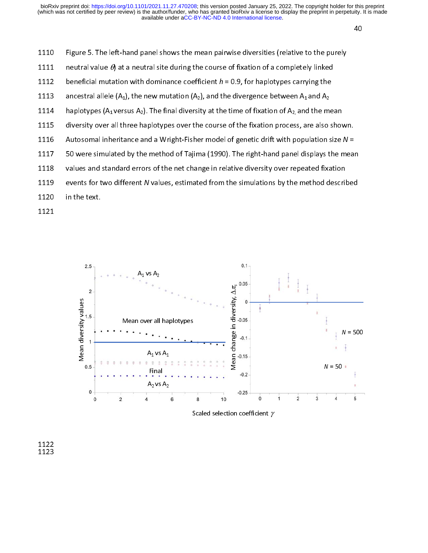$\overline{40}$ 

1110 Figure 5. The left-hand panel shows the mean pairwise diversities (relative to the purely 1111 neutral value  $\theta$ ) at a neutral site during the course of fixation of a completely linked 1112 beneficial mutation with dominance coefficient  $h = 0.9$ , for haplotypes carrying the 1113 ancestral allele  $(A_1)$ , the new mutation  $(A_2)$ , and the divergence between  $A_1$  and  $A_2$ 1114 haplotypes (A<sub>1</sub> versus A<sub>2</sub>). The final diversity at the time of fixation of A<sub>2</sub> and the mean 1115 diversity over all three haplotypes over the course of the fixation process, are also shown. 1116 Autosomal inheritance and a Wright-Fisher model of genetic drift with population size  $N =$ 1117 50 were simulated by the method of Tajima (1990). The right-hand panel displays the mean 1118 values and standard errors of the net change in relative diversity over repeated fixation 1119 events for two different *N* values, estimated from the simulations by the method described<br>1120 in the text. in the text.

1121



Scaled selection coefficient  $\gamma$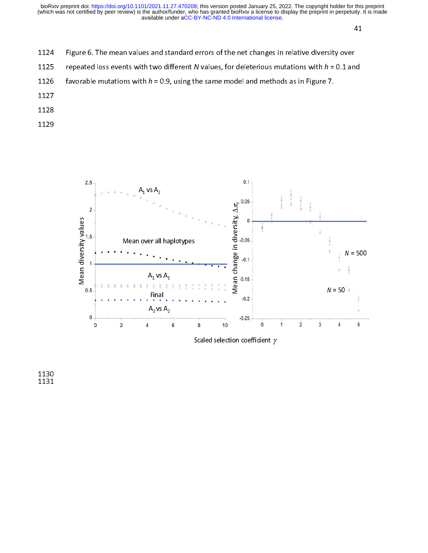$\mathcal{A}$  1

- 1124 Figure 6. The mean values and standard errors of the net changes in relative diversity over
- 1125 repeated loss events with two different N values, for deleterious mutations with  $h = 0.1$  and<br>1126 favorable mutations with  $h = 0.9$ , using the same model and methods as in Figure 7.
- favorable mutations with  $h = 0.9$ , using the same model and methods as in Figure 7.
- 1127
- 1128
- 1129



Scaled selection coefficient  $\gamma$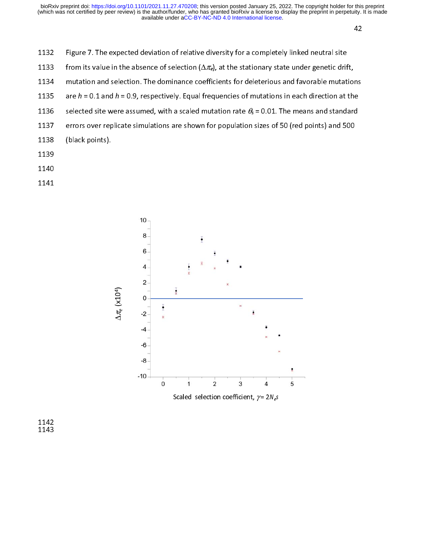1132 Figure 7. The expected deviation of relative diversity for a completely linked neutral site

1133 from its value in the absence of selection  $(\Delta \pi_e)$ , at the stationary state under genetic drift,

1134 mutation and selection. The dominance coefficients for deleterious and favorable mutations

- 1135 are  $h = 0.1$  and  $h = 0.9$ , respectively. Equal frequencies of mutations in each direction at the
- 1136 selected site were assumed, with a scaled mutation rate  $\theta_s$  = 0.01. The means and standard
- 1137 errors over replicate simulations are shown for population sizes of 50 (red points) and 500
- 1138 (black points).
- 1139
- 1140
- 1141